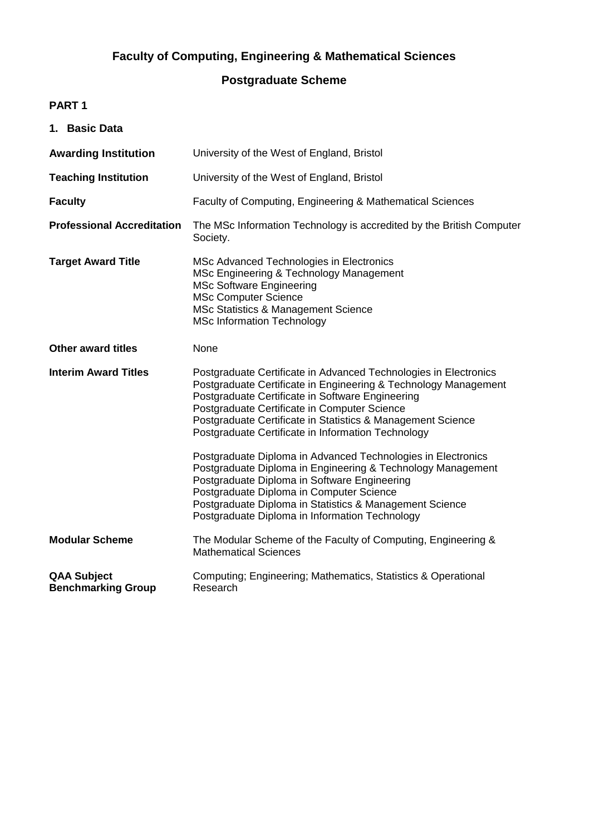# **Faculty of Computing, Engineering & Mathematical Sciences**

## **Postgraduate Scheme**

## **PART 1**

| 1. Basic Data                                   |                                                                                                                                                                                                                                                                                                                                                                                                                              |
|-------------------------------------------------|------------------------------------------------------------------------------------------------------------------------------------------------------------------------------------------------------------------------------------------------------------------------------------------------------------------------------------------------------------------------------------------------------------------------------|
| <b>Awarding Institution</b>                     | University of the West of England, Bristol                                                                                                                                                                                                                                                                                                                                                                                   |
| <b>Teaching Institution</b>                     | University of the West of England, Bristol                                                                                                                                                                                                                                                                                                                                                                                   |
| <b>Faculty</b>                                  | Faculty of Computing, Engineering & Mathematical Sciences                                                                                                                                                                                                                                                                                                                                                                    |
| <b>Professional Accreditation</b>               | The MSc Information Technology is accredited by the British Computer<br>Society.                                                                                                                                                                                                                                                                                                                                             |
| <b>Target Award Title</b>                       | MSc Advanced Technologies in Electronics<br>MSc Engineering & Technology Management<br><b>MSc Software Engineering</b><br><b>MSc Computer Science</b><br><b>MSc Statistics &amp; Management Science</b><br><b>MSc Information Technology</b>                                                                                                                                                                                 |
| <b>Other award titles</b>                       | None                                                                                                                                                                                                                                                                                                                                                                                                                         |
| <b>Interim Award Titles</b>                     | Postgraduate Certificate in Advanced Technologies in Electronics<br>Postgraduate Certificate in Engineering & Technology Management<br>Postgraduate Certificate in Software Engineering<br>Postgraduate Certificate in Computer Science<br>Postgraduate Certificate in Statistics & Management Science<br>Postgraduate Certificate in Information Technology<br>Postgraduate Diploma in Advanced Technologies in Electronics |
|                                                 | Postgraduate Diploma in Engineering & Technology Management<br>Postgraduate Diploma in Software Engineering<br>Postgraduate Diploma in Computer Science<br>Postgraduate Diploma in Statistics & Management Science<br>Postgraduate Diploma in Information Technology                                                                                                                                                         |
| <b>Modular Scheme</b>                           | The Modular Scheme of the Faculty of Computing, Engineering &<br><b>Mathematical Sciences</b>                                                                                                                                                                                                                                                                                                                                |
| <b>QAA Subject</b><br><b>Benchmarking Group</b> | Computing; Engineering; Mathematics, Statistics & Operational<br>Research                                                                                                                                                                                                                                                                                                                                                    |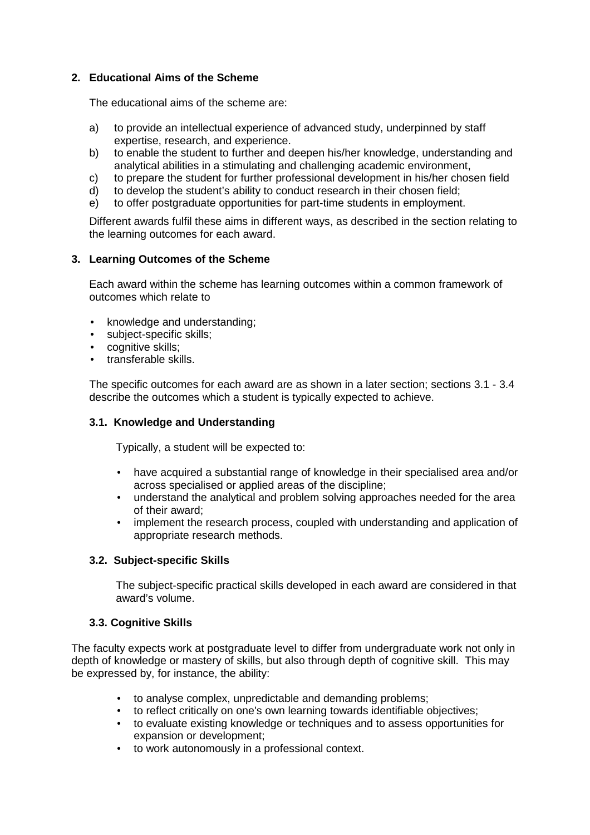## **2. Educational Aims of the Scheme**

The educational aims of the scheme are:

- a) to provide an intellectual experience of advanced study, underpinned by staff expertise, research, and experience.
- b) to enable the student to further and deepen his/her knowledge, understanding and analytical abilities in a stimulating and challenging academic environment,
- c) to prepare the student for further professional development in his/her chosen field
- d) to develop the student's ability to conduct research in their chosen field;
- e) to offer postgraduate opportunities for part-time students in employment.

Different awards fulfil these aims in different ways, as described in the section relating to the learning outcomes for each award.

### **3. Learning Outcomes of the Scheme**

Each award within the scheme has learning outcomes within a common framework of outcomes which relate to

- knowledge and understanding;
- subject-specific skills;
- cognitive skills:
- transferable skills.

The specific outcomes for each award are as shown in a later section; sections 3.1 - 3.4 describe the outcomes which a student is typically expected to achieve.

## **3.1. Knowledge and Understanding**

Typically, a student will be expected to:

- have acquired a substantial range of knowledge in their specialised area and/or across specialised or applied areas of the discipline;
- understand the analytical and problem solving approaches needed for the area of their award;
- implement the research process, coupled with understanding and application of appropriate research methods.

## **3.2. Subject-specific Skills**

The subject-specific practical skills developed in each award are considered in that award's volume.

### **3.3. Cognitive Skills**

The faculty expects work at postgraduate level to differ from undergraduate work not only in depth of knowledge or mastery of skills, but also through depth of cognitive skill. This may be expressed by, for instance, the ability:

- to analyse complex, unpredictable and demanding problems;
- to reflect critically on one's own learning towards identifiable objectives;
- to evaluate existing knowledge or techniques and to assess opportunities for expansion or development;
- to work autonomously in a professional context.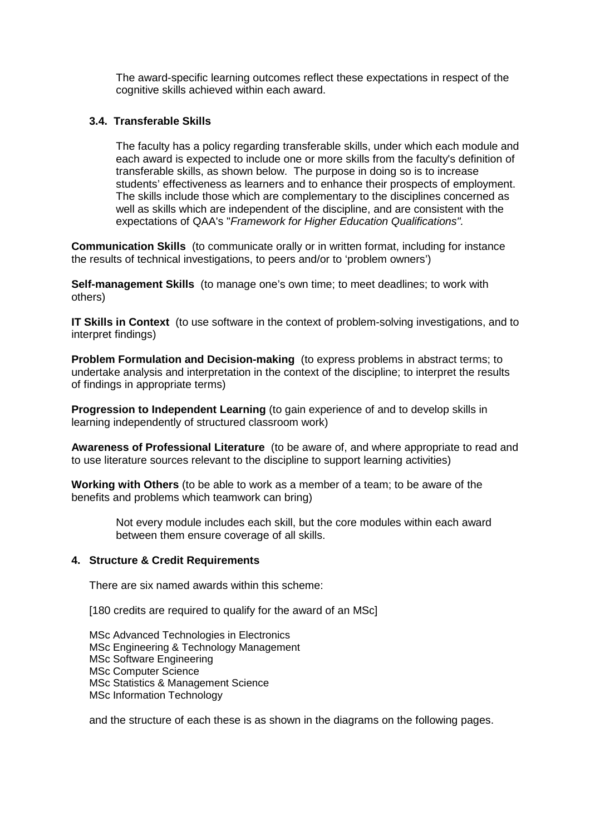The award-specific learning outcomes reflect these expectations in respect of the cognitive skills achieved within each award.

## **3.4. Transferable Skills**

The faculty has a policy regarding transferable skills, under which each module and each award is expected to include one or more skills from the faculty's definition of transferable skills, as shown below. The purpose in doing so is to increase students' effectiveness as learners and to enhance their prospects of employment. The skills include those which are complementary to the disciplines concerned as well as skills which are independent of the discipline, and are consistent with the expectations of QAA's "Framework for Higher Education Qualifications".

**Communication Skills** (to communicate orally or in written format, including for instance the results of technical investigations, to peers and/or to 'problem owners')

**Self-management Skills** (to manage one's own time; to meet deadlines; to work with others)

**IT Skills in Context** (to use software in the context of problem-solving investigations, and to interpret findings)

**Problem Formulation and Decision-making** (to express problems in abstract terms; to undertake analysis and interpretation in the context of the discipline; to interpret the results of findings in appropriate terms)

**Progression to Independent Learning** (to gain experience of and to develop skills in learning independently of structured classroom work)

**Awareness of Professional Literature** (to be aware of, and where appropriate to read and to use literature sources relevant to the discipline to support learning activities)

**Working with Others** (to be able to work as a member of a team; to be aware of the benefits and problems which teamwork can bring)

> Not every module includes each skill, but the core modules within each award between them ensure coverage of all skills.

### **4. Structure & Credit Requirements**

There are six named awards within this scheme:

[180 credits are required to qualify for the award of an MSc]

MSc Advanced Technologies in Electronics MSc Engineering & Technology Management MSc Software Engineering MSc Computer Science MSc Statistics & Management Science MSc Information Technology

and the structure of each these is as shown in the diagrams on the following pages.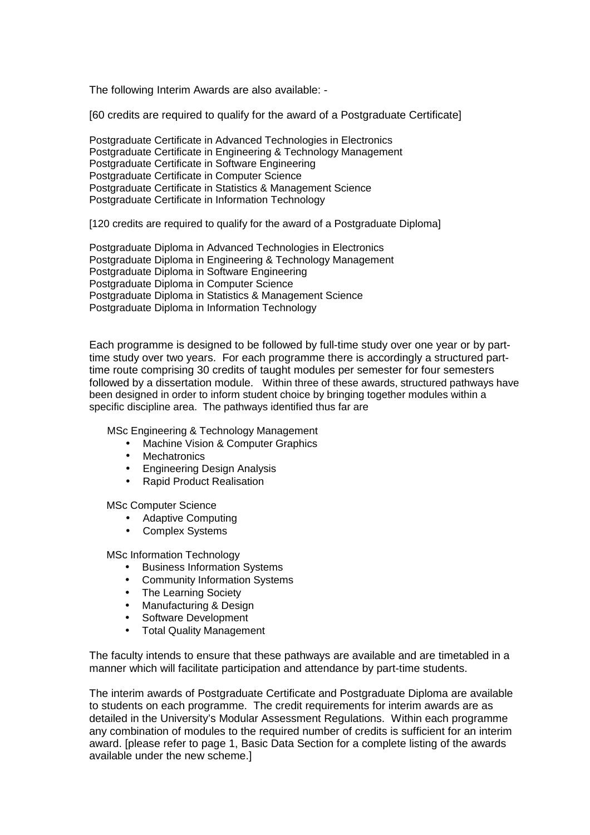The following Interim Awards are also available: -

[60 credits are required to qualify for the award of a Postgraduate Certificate]

Postgraduate Certificate in Advanced Technologies in Electronics Postgraduate Certificate in Engineering & Technology Management Postgraduate Certificate in Software Engineering Postgraduate Certificate in Computer Science Postgraduate Certificate in Statistics & Management Science Postgraduate Certificate in Information Technology

[120 credits are required to qualify for the award of a Postgraduate Diploma]

Postgraduate Diploma in Advanced Technologies in Electronics Postgraduate Diploma in Engineering & Technology Management Postgraduate Diploma in Software Engineering Postgraduate Diploma in Computer Science Postgraduate Diploma in Statistics & Management Science Postgraduate Diploma in Information Technology

Each programme is designed to be followed by full-time study over one year or by parttime study over two years. For each programme there is accordingly a structured parttime route comprising 30 credits of taught modules per semester for four semesters followed by a dissertation module. Within three of these awards, structured pathways have been designed in order to inform student choice by bringing together modules within a specific discipline area. The pathways identified thus far are

MSc Engineering & Technology Management

- Machine Vision & Computer Graphics
- Mechatronics
- Engineering Design Analysis
- Rapid Product Realisation

MSc Computer Science

- Adaptive Computing
- Complex Systems

MSc Information Technology

- Business Information Systems
- Community Information Systems
- The Learning Society
- Manufacturing & Design
- Software Development
- Total Quality Management

The faculty intends to ensure that these pathways are available and are timetabled in a manner which will facilitate participation and attendance by part-time students.

The interim awards of Postgraduate Certificate and Postgraduate Diploma are available to students on each programme. The credit requirements for interim awards are as detailed in the University's Modular Assessment Regulations. Within each programme any combination of modules to the required number of credits is sufficient for an interim award. [please refer to page 1, Basic Data Section for a complete listing of the awards available under the new scheme.]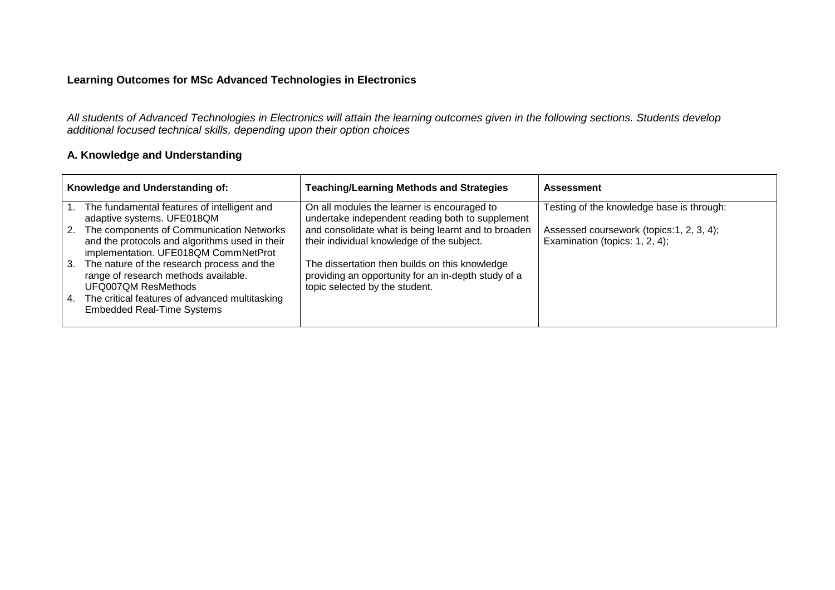All students of Advanced Technologies in Electronics will attain the learning outcomes given in the following sections. Students develop additional focused technical skills, depending upon their option choices

### **A. Knowledge and Understanding**

| Knowledge and Understanding of: |                                                                                                                                    | <b>Teaching/Learning Methods and Strategies</b>                                                                                         | <b>Assessment</b>                                                           |
|---------------------------------|------------------------------------------------------------------------------------------------------------------------------------|-----------------------------------------------------------------------------------------------------------------------------------------|-----------------------------------------------------------------------------|
|                                 | The fundamental features of intelligent and<br>adaptive systems. UFE018QM                                                          | On all modules the learner is encouraged to<br>undertake independent reading both to supplement                                         | Testing of the knowledge base is through:                                   |
| 2.                              | The components of Communication Networks<br>and the protocols and algorithms used in their<br>implementation. UFE018QM CommNetProt | and consolidate what is being learnt and to broaden<br>their individual knowledge of the subject.                                       | Assessed coursework (topics: 1, 2, 3, 4);<br>Examination (topics: 1, 2, 4); |
| 3.                              | The nature of the research process and the<br>range of research methods available.<br>UFQ007QM ResMethods                          | The dissertation then builds on this knowledge<br>providing an opportunity for an in-depth study of a<br>topic selected by the student. |                                                                             |
| 4.                              | The critical features of advanced multitasking<br><b>Embedded Real-Time Systems</b>                                                |                                                                                                                                         |                                                                             |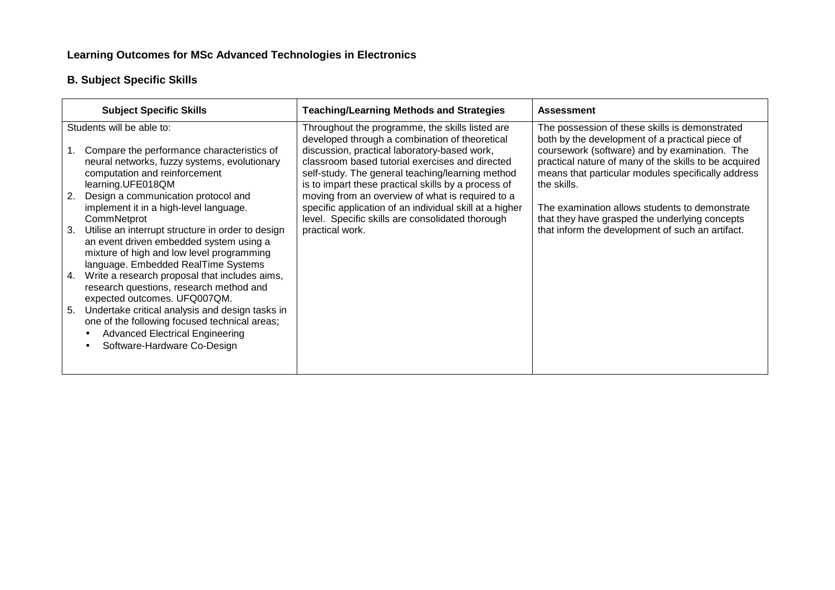## **B. Subject Specific Skills**

|    | <b>Subject Specific Skills</b>                                                                                                                                                         | <b>Teaching/Learning Methods and Strategies</b>                                                                                                                                                                                                              | <b>Assessment</b>                                                                                                                                                                                                              |
|----|----------------------------------------------------------------------------------------------------------------------------------------------------------------------------------------|--------------------------------------------------------------------------------------------------------------------------------------------------------------------------------------------------------------------------------------------------------------|--------------------------------------------------------------------------------------------------------------------------------------------------------------------------------------------------------------------------------|
|    | Students will be able to:                                                                                                                                                              | Throughout the programme, the skills listed are                                                                                                                                                                                                              | The possession of these skills is demonstrated                                                                                                                                                                                 |
|    | Compare the performance characteristics of<br>neural networks, fuzzy systems, evolutionary<br>computation and reinforcement<br>learning.UFE018QM                                       | developed through a combination of theoretical<br>discussion, practical laboratory-based work,<br>classroom based tutorial exercises and directed<br>self-study. The general teaching/learning method<br>is to impart these practical skills by a process of | both by the development of a practical piece of<br>coursework (software) and by examination. The<br>practical nature of many of the skills to be acquired<br>means that particular modules specifically address<br>the skills. |
| 2. | Design a communication protocol and<br>implement it in a high-level language.<br>CommNetprot                                                                                           | moving from an overview of what is required to a<br>specific application of an individual skill at a higher<br>level. Specific skills are consolidated thorough                                                                                              | The examination allows students to demonstrate<br>that they have grasped the underlying concepts                                                                                                                               |
| 3. | Utilise an interrupt structure in order to design<br>an event driven embedded system using a<br>mixture of high and low level programming<br>language. Embedded RealTime Systems       | practical work.                                                                                                                                                                                                                                              | that inform the development of such an artifact.                                                                                                                                                                               |
| 4. | Write a research proposal that includes aims,<br>research questions, research method and<br>expected outcomes. UFQ007QM.                                                               |                                                                                                                                                                                                                                                              |                                                                                                                                                                                                                                |
| 5. | Undertake critical analysis and design tasks in<br>one of the following focused technical areas;<br><b>Advanced Electrical Engineering</b><br>$\bullet$<br>Software-Hardware Co-Design |                                                                                                                                                                                                                                                              |                                                                                                                                                                                                                                |
|    |                                                                                                                                                                                        |                                                                                                                                                                                                                                                              |                                                                                                                                                                                                                                |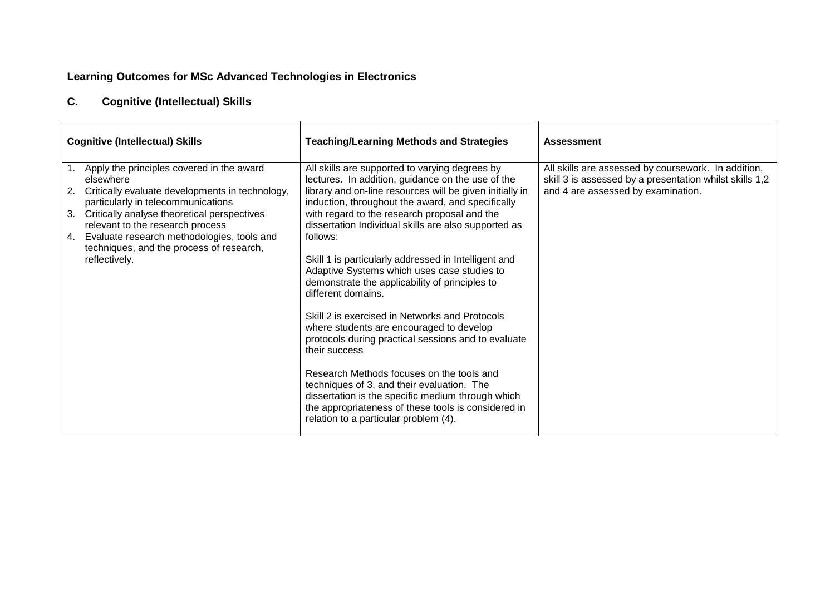### **C.Cognitive (Intellectual) Skills**

| <b>Cognitive (Intellectual) Skills</b>                                                                                                                                                                                                                                                                                                                          | <b>Teaching/Learning Methods and Strategies</b>                                                                                                                                                                                                                                                                                                                                                                                                                                                                                                                                                                                                                                                                                                                                                                                                                                                                                               | <b>Assessment</b>                                                                                                                                    |
|-----------------------------------------------------------------------------------------------------------------------------------------------------------------------------------------------------------------------------------------------------------------------------------------------------------------------------------------------------------------|-----------------------------------------------------------------------------------------------------------------------------------------------------------------------------------------------------------------------------------------------------------------------------------------------------------------------------------------------------------------------------------------------------------------------------------------------------------------------------------------------------------------------------------------------------------------------------------------------------------------------------------------------------------------------------------------------------------------------------------------------------------------------------------------------------------------------------------------------------------------------------------------------------------------------------------------------|------------------------------------------------------------------------------------------------------------------------------------------------------|
| 1. Apply the principles covered in the award<br>elsewhere<br>Critically evaluate developments in technology,<br>2.<br>particularly in telecommunications<br>Critically analyse theoretical perspectives<br>3.<br>relevant to the research process<br>4. Evaluate research methodologies, tools and<br>techniques, and the process of research,<br>reflectively. | All skills are supported to varying degrees by<br>lectures. In addition, guidance on the use of the<br>library and on-line resources will be given initially in<br>induction, throughout the award, and specifically<br>with regard to the research proposal and the<br>dissertation Individual skills are also supported as<br>follows:<br>Skill 1 is particularly addressed in Intelligent and<br>Adaptive Systems which uses case studies to<br>demonstrate the applicability of principles to<br>different domains.<br>Skill 2 is exercised in Networks and Protocols<br>where students are encouraged to develop<br>protocols during practical sessions and to evaluate<br>their success<br>Research Methods focuses on the tools and<br>techniques of 3, and their evaluation. The<br>dissertation is the specific medium through which<br>the appropriateness of these tools is considered in<br>relation to a particular problem (4). | All skills are assessed by coursework. In addition,<br>skill 3 is assessed by a presentation whilst skills 1,2<br>and 4 are assessed by examination. |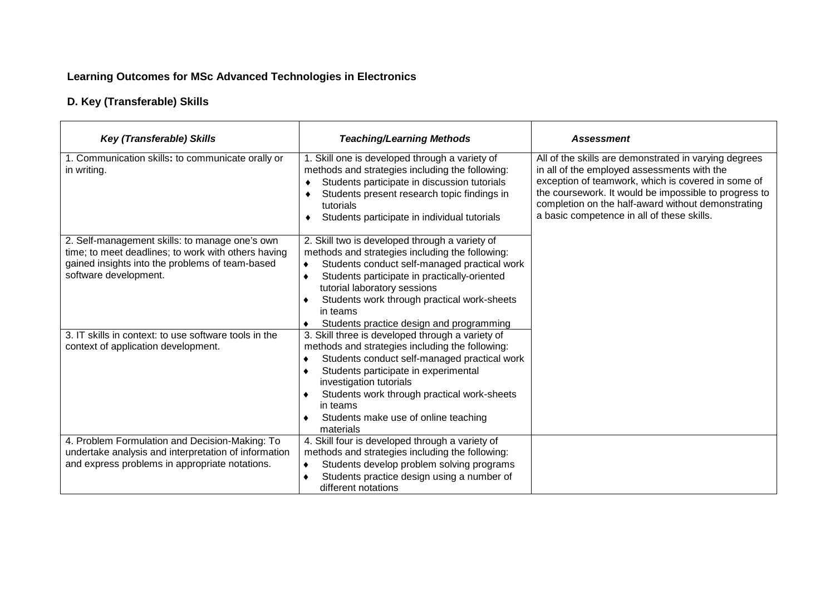## **D. Key (Transferable) Skills**

| <b>Key (Transferable) Skills</b>                                                                                                                                                  | <b>Teaching/Learning Methods</b>                                                                                                                                                                                                                                                                                                                      | <b>Assessment</b>                                                                                                                                                                                                                                                                                                       |
|-----------------------------------------------------------------------------------------------------------------------------------------------------------------------------------|-------------------------------------------------------------------------------------------------------------------------------------------------------------------------------------------------------------------------------------------------------------------------------------------------------------------------------------------------------|-------------------------------------------------------------------------------------------------------------------------------------------------------------------------------------------------------------------------------------------------------------------------------------------------------------------------|
| 1. Communication skills: to communicate orally or<br>in writing.                                                                                                                  | 1. Skill one is developed through a variety of<br>methods and strategies including the following:<br>Students participate in discussion tutorials<br>٠<br>Students present research topic findings in<br>tutorials<br>Students participate in individual tutorials<br>٠                                                                               | All of the skills are demonstrated in varying degrees<br>in all of the employed assessments with the<br>exception of teamwork, which is covered in some of<br>the coursework. It would be impossible to progress to<br>completion on the half-award without demonstrating<br>a basic competence in all of these skills. |
| 2. Self-management skills: to manage one's own<br>time; to meet deadlines; to work with others having<br>gained insights into the problems of team-based<br>software development. | 2. Skill two is developed through a variety of<br>methods and strategies including the following:<br>Students conduct self-managed practical work<br>$\bullet$<br>Students participate in practically-oriented<br>tutorial laboratory sessions<br>Students work through practical work-sheets<br>in teams<br>Students practice design and programming |                                                                                                                                                                                                                                                                                                                         |
| 3. IT skills in context: to use software tools in the<br>context of application development.                                                                                      | 3. Skill three is developed through a variety of<br>methods and strategies including the following:<br>Students conduct self-managed practical work<br>Students participate in experimental<br>investigation tutorials<br>Students work through practical work-sheets<br>in teams<br>Students make use of online teaching<br>materials                |                                                                                                                                                                                                                                                                                                                         |
| 4. Problem Formulation and Decision-Making: To<br>undertake analysis and interpretation of information<br>and express problems in appropriate notations.                          | 4. Skill four is developed through a variety of<br>methods and strategies including the following:<br>Students develop problem solving programs<br>Students practice design using a number of<br>different notations                                                                                                                                  |                                                                                                                                                                                                                                                                                                                         |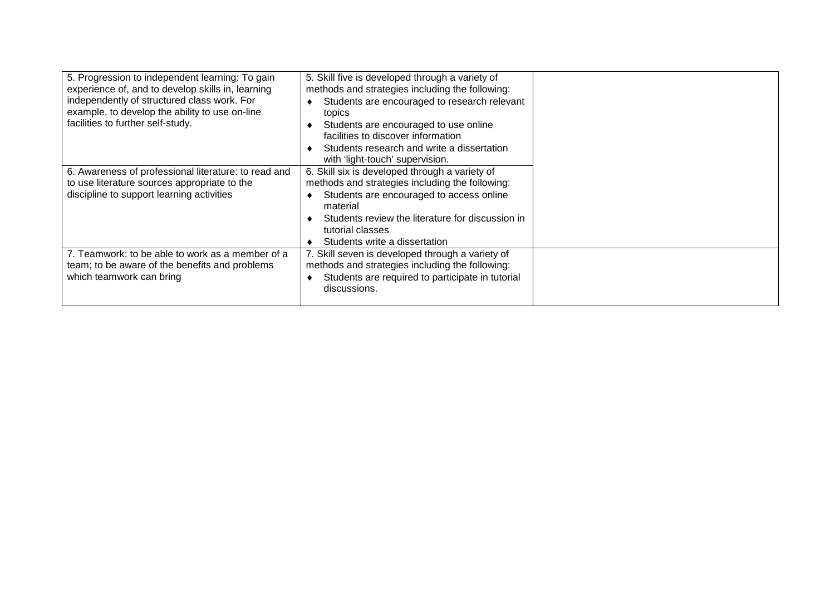| 5. Progression to independent learning: To gain      | 5. Skill five is developed through a variety of  |  |
|------------------------------------------------------|--------------------------------------------------|--|
| experience of, and to develop skills in, learning    | methods and strategies including the following:  |  |
| independently of structured class work. For          | Students are encouraged to research relevant     |  |
| example, to develop the ability to use on-line       | topics                                           |  |
| facilities to further self-study.                    | Students are encouraged to use online            |  |
|                                                      | facilities to discover information               |  |
|                                                      | Students research and write a dissertation       |  |
|                                                      | with 'light-touch' supervision.                  |  |
| 6. Awareness of professional literature: to read and | 6. Skill six is developed through a variety of   |  |
| to use literature sources appropriate to the         | methods and strategies including the following:  |  |
| discipline to support learning activities            | Students are encouraged to access online         |  |
|                                                      | material                                         |  |
|                                                      | Students review the literature for discussion in |  |
|                                                      | tutorial classes                                 |  |
|                                                      | Students write a dissertation                    |  |
| 7. Teamwork: to be able to work as a member of a     | 7. Skill seven is developed through a variety of |  |
| team; to be aware of the benefits and problems       | methods and strategies including the following:  |  |
| which teamwork can bring                             | Students are required to participate in tutorial |  |
|                                                      | discussions.                                     |  |
|                                                      |                                                  |  |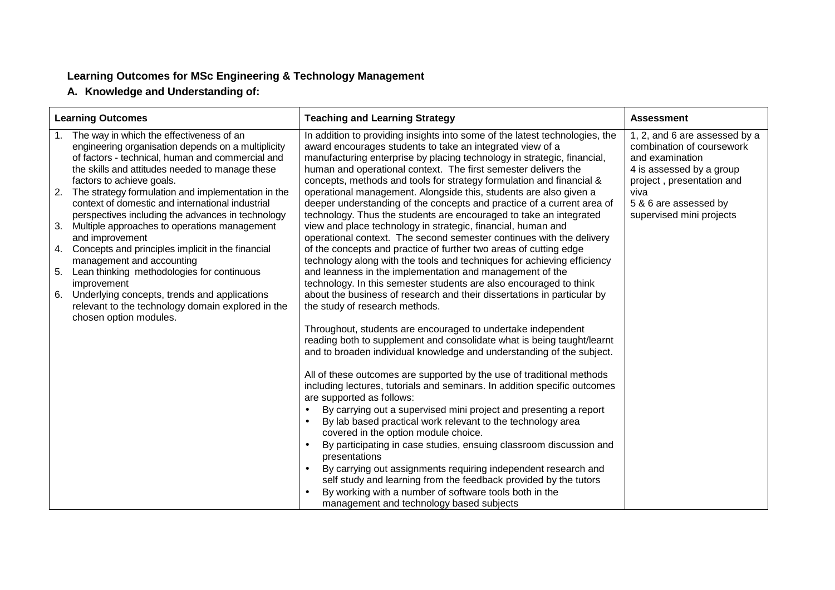**A. Knowledge and Understanding of:**

|    | <b>Learning Outcomes</b>                                                                                                                                                                                                           | <b>Teaching and Learning Strategy</b>                                                                                                                                                                                                                                                                                                                         | <b>Assessment</b>                                                                                                                      |
|----|------------------------------------------------------------------------------------------------------------------------------------------------------------------------------------------------------------------------------------|---------------------------------------------------------------------------------------------------------------------------------------------------------------------------------------------------------------------------------------------------------------------------------------------------------------------------------------------------------------|----------------------------------------------------------------------------------------------------------------------------------------|
| 1. | The way in which the effectiveness of an<br>engineering organisation depends on a multiplicity<br>of factors - technical, human and commercial and<br>the skills and attitudes needed to manage these<br>factors to achieve goals. | In addition to providing insights into some of the latest technologies, the<br>award encourages students to take an integrated view of a<br>manufacturing enterprise by placing technology in strategic, financial,<br>human and operational context. The first semester delivers the<br>concepts, methods and tools for strategy formulation and financial & | 1, 2, and 6 are assessed by a<br>combination of coursework<br>and examination<br>4 is assessed by a group<br>project, presentation and |
|    | 2. The strategy formulation and implementation in the<br>context of domestic and international industrial<br>perspectives including the advances in technology                                                                     | operational management. Alongside this, students are also given a<br>deeper understanding of the concepts and practice of a current area of<br>technology. Thus the students are encouraged to take an integrated                                                                                                                                             | viva<br>5 & 6 are assessed by<br>supervised mini projects                                                                              |
| 3. | Multiple approaches to operations management<br>and improvement                                                                                                                                                                    | view and place technology in strategic, financial, human and<br>operational context. The second semester continues with the delivery                                                                                                                                                                                                                          |                                                                                                                                        |
|    | 4. Concepts and principles implicit in the financial<br>management and accounting                                                                                                                                                  | of the concepts and practice of further two areas of cutting edge<br>technology along with the tools and techniques for achieving efficiency                                                                                                                                                                                                                  |                                                                                                                                        |
| 5. | Lean thinking methodologies for continuous<br>improvement                                                                                                                                                                          | and leanness in the implementation and management of the<br>technology. In this semester students are also encouraged to think                                                                                                                                                                                                                                |                                                                                                                                        |
| 6. | Underlying concepts, trends and applications<br>relevant to the technology domain explored in the                                                                                                                                  | about the business of research and their dissertations in particular by<br>the study of research methods.                                                                                                                                                                                                                                                     |                                                                                                                                        |
|    | chosen option modules.                                                                                                                                                                                                             | Throughout, students are encouraged to undertake independent<br>reading both to supplement and consolidate what is being taught/learnt<br>and to broaden individual knowledge and understanding of the subject.                                                                                                                                               |                                                                                                                                        |
|    |                                                                                                                                                                                                                                    | All of these outcomes are supported by the use of traditional methods<br>including lectures, tutorials and seminars. In addition specific outcomes<br>are supported as follows:                                                                                                                                                                               |                                                                                                                                        |
|    |                                                                                                                                                                                                                                    | By carrying out a supervised mini project and presenting a report<br>By lab based practical work relevant to the technology area<br>covered in the option module choice.                                                                                                                                                                                      |                                                                                                                                        |
|    |                                                                                                                                                                                                                                    | By participating in case studies, ensuing classroom discussion and<br>presentations                                                                                                                                                                                                                                                                           |                                                                                                                                        |
|    |                                                                                                                                                                                                                                    | By carrying out assignments requiring independent research and<br>$\bullet$<br>self study and learning from the feedback provided by the tutors                                                                                                                                                                                                               |                                                                                                                                        |
|    |                                                                                                                                                                                                                                    | By working with a number of software tools both in the<br>management and technology based subjects                                                                                                                                                                                                                                                            |                                                                                                                                        |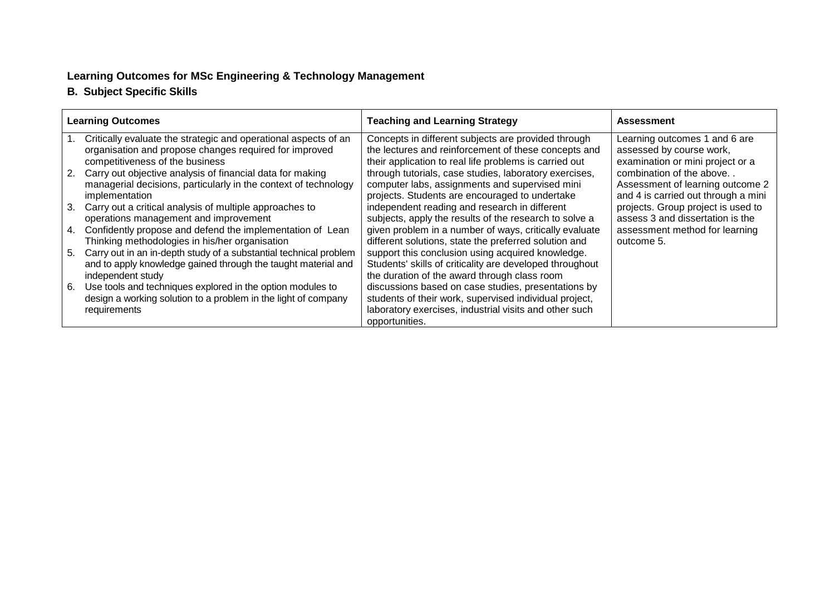## **B. Subject Specific Skills**

| <b>Learning Outcomes</b> |                                                                                                                                                         | <b>Teaching and Learning Strategy</b>                                                                                                                                                     | <b>Assessment</b>                   |
|--------------------------|---------------------------------------------------------------------------------------------------------------------------------------------------------|-------------------------------------------------------------------------------------------------------------------------------------------------------------------------------------------|-------------------------------------|
|                          | Critically evaluate the strategic and operational aspects of an                                                                                         | Concepts in different subjects are provided through                                                                                                                                       | Learning outcomes 1 and 6 are       |
|                          | organisation and propose changes required for improved                                                                                                  | the lectures and reinforcement of these concepts and                                                                                                                                      | assessed by course work,            |
|                          | competitiveness of the business                                                                                                                         | their application to real life problems is carried out                                                                                                                                    | examination or mini project or a    |
|                          | 2. Carry out objective analysis of financial data for making                                                                                            | through tutorials, case studies, laboratory exercises,                                                                                                                                    | combination of the above            |
|                          | managerial decisions, particularly in the context of technology                                                                                         | computer labs, assignments and supervised mini                                                                                                                                            | Assessment of learning outcome 2    |
|                          | implementation                                                                                                                                          | projects. Students are encouraged to undertake                                                                                                                                            | and 4 is carried out through a mini |
|                          | 3. Carry out a critical analysis of multiple approaches to                                                                                              | independent reading and research in different                                                                                                                                             | projects. Group project is used to  |
|                          | operations management and improvement                                                                                                                   | subjects, apply the results of the research to solve a                                                                                                                                    | assess 3 and dissertation is the    |
| 4.                       | Confidently propose and defend the implementation of Lean                                                                                               | given problem in a number of ways, critically evaluate                                                                                                                                    | assessment method for learning      |
|                          | Thinking methodologies in his/her organisation                                                                                                          | different solutions, state the preferred solution and                                                                                                                                     | outcome 5.                          |
| 5.                       | Carry out in an in-depth study of a substantial technical problem<br>and to apply knowledge gained through the taught material and<br>independent study | support this conclusion using acquired knowledge.<br>Students' skills of criticality are developed throughout<br>the duration of the award through class room                             |                                     |
| 6.                       | Use tools and techniques explored in the option modules to<br>design a working solution to a problem in the light of company<br>requirements            | discussions based on case studies, presentations by<br>students of their work, supervised individual project,<br>laboratory exercises, industrial visits and other such<br>opportunities. |                                     |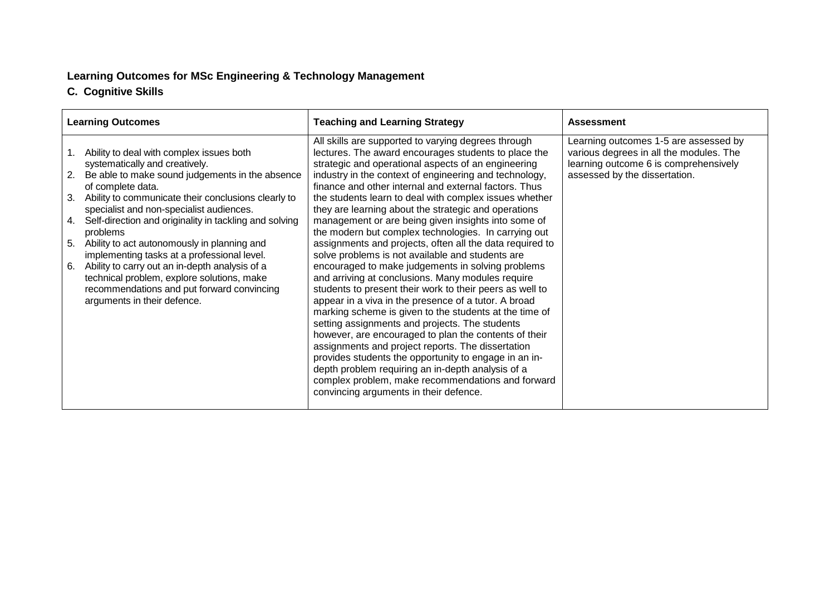## **C. Cognitive Skills**

| <b>Learning Outcomes</b> |                                                                                                                                            | <b>Teaching and Learning Strategy</b>                                                                                                                              | <b>Assessment</b>                                                                                                         |
|--------------------------|--------------------------------------------------------------------------------------------------------------------------------------------|--------------------------------------------------------------------------------------------------------------------------------------------------------------------|---------------------------------------------------------------------------------------------------------------------------|
|                          | Ability to deal with complex issues both<br>systematically and creatively.                                                                 | All skills are supported to varying degrees through<br>lectures. The award encourages students to place the<br>strategic and operational aspects of an engineering | Learning outcomes 1-5 are assessed by<br>various degrees in all the modules. The<br>learning outcome 6 is comprehensively |
| 2.                       | Be able to make sound judgements in the absence<br>of complete data.                                                                       | industry in the context of engineering and technology,<br>finance and other internal and external factors. Thus                                                    | assessed by the dissertation.                                                                                             |
| 3.                       | Ability to communicate their conclusions clearly to<br>specialist and non-specialist audiences.                                            | the students learn to deal with complex issues whether<br>they are learning about the strategic and operations                                                     |                                                                                                                           |
| 4.                       | Self-direction and originality in tackling and solving<br>problems                                                                         | management or are being given insights into some of<br>the modern but complex technologies. In carrying out                                                        |                                                                                                                           |
| 5.                       | Ability to act autonomously in planning and<br>implementing tasks at a professional level.                                                 | assignments and projects, often all the data required to<br>solve problems is not available and students are                                                       |                                                                                                                           |
| 6.                       | Ability to carry out an in-depth analysis of a<br>technical problem, explore solutions, make<br>recommendations and put forward convincing | encouraged to make judgements in solving problems<br>and arriving at conclusions. Many modules require<br>students to present their work to their peers as well to |                                                                                                                           |
|                          | arguments in their defence.                                                                                                                | appear in a viva in the presence of a tutor. A broad<br>marking scheme is given to the students at the time of                                                     |                                                                                                                           |
|                          |                                                                                                                                            | setting assignments and projects. The students<br>however, are encouraged to plan the contents of their                                                            |                                                                                                                           |
|                          |                                                                                                                                            | assignments and project reports. The dissertation<br>provides students the opportunity to engage in an in-                                                         |                                                                                                                           |
|                          |                                                                                                                                            | depth problem requiring an in-depth analysis of a<br>complex problem, make recommendations and forward<br>convincing arguments in their defence.                   |                                                                                                                           |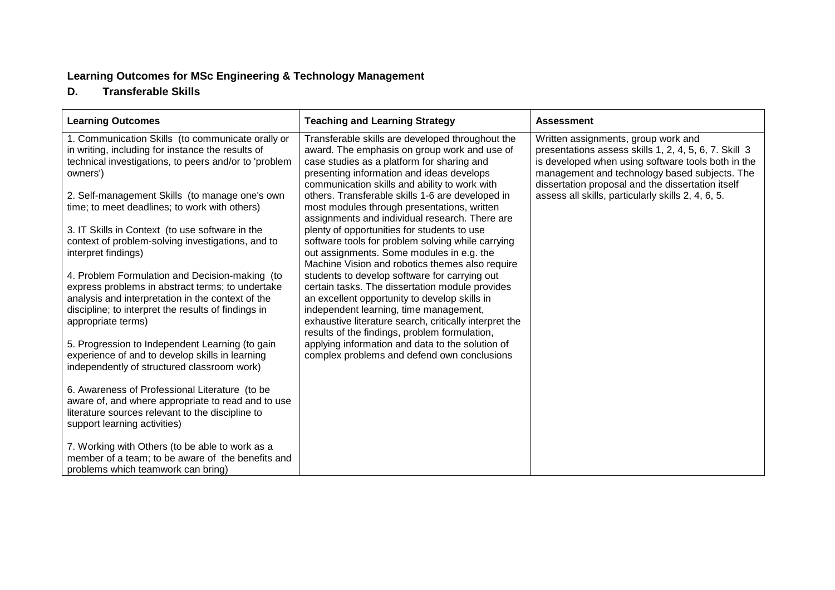#### **D.Transferable Skills**

| <b>Learning Outcomes</b>                                                                                                                                                                                                             | <b>Teaching and Learning Strategy</b>                                                                                                                                                                                                                                                                  | <b>Assessment</b>                                                                                                                                                                                                                                        |
|--------------------------------------------------------------------------------------------------------------------------------------------------------------------------------------------------------------------------------------|--------------------------------------------------------------------------------------------------------------------------------------------------------------------------------------------------------------------------------------------------------------------------------------------------------|----------------------------------------------------------------------------------------------------------------------------------------------------------------------------------------------------------------------------------------------------------|
| 1. Communication Skills (to communicate orally or<br>in writing, including for instance the results of<br>technical investigations, to peers and/or to 'problem<br>owners')                                                          | Transferable skills are developed throughout the<br>award. The emphasis on group work and use of<br>case studies as a platform for sharing and<br>presenting information and ideas develops<br>communication skills and ability to work with                                                           | Written assignments, group work and<br>presentations assess skills 1, 2, 4, 5, 6, 7. Skill 3<br>is developed when using software tools both in the<br>management and technology based subjects. The<br>dissertation proposal and the dissertation itself |
| 2. Self-management Skills (to manage one's own<br>time; to meet deadlines; to work with others)                                                                                                                                      | others. Transferable skills 1-6 are developed in<br>most modules through presentations, written<br>assignments and individual research. There are                                                                                                                                                      | assess all skills, particularly skills 2, 4, 6, 5.                                                                                                                                                                                                       |
| 3. IT Skills in Context (to use software in the<br>context of problem-solving investigations, and to<br>interpret findings)                                                                                                          | plenty of opportunities for students to use<br>software tools for problem solving while carrying<br>out assignments. Some modules in e.g. the<br>Machine Vision and robotics themes also require                                                                                                       |                                                                                                                                                                                                                                                          |
| 4. Problem Formulation and Decision-making (to<br>express problems in abstract terms; to undertake<br>analysis and interpretation in the context of the<br>discipline; to interpret the results of findings in<br>appropriate terms) | students to develop software for carrying out<br>certain tasks. The dissertation module provides<br>an excellent opportunity to develop skills in<br>independent learning, time management,<br>exhaustive literature search, critically interpret the<br>results of the findings, problem formulation, |                                                                                                                                                                                                                                                          |
| 5. Progression to Independent Learning (to gain<br>experience of and to develop skills in learning<br>independently of structured classroom work)                                                                                    | applying information and data to the solution of<br>complex problems and defend own conclusions                                                                                                                                                                                                        |                                                                                                                                                                                                                                                          |
| 6. Awareness of Professional Literature (to be<br>aware of, and where appropriate to read and to use<br>literature sources relevant to the discipline to<br>support learning activities)                                             |                                                                                                                                                                                                                                                                                                        |                                                                                                                                                                                                                                                          |
| 7. Working with Others (to be able to work as a<br>member of a team; to be aware of the benefits and<br>problems which teamwork can bring)                                                                                           |                                                                                                                                                                                                                                                                                                        |                                                                                                                                                                                                                                                          |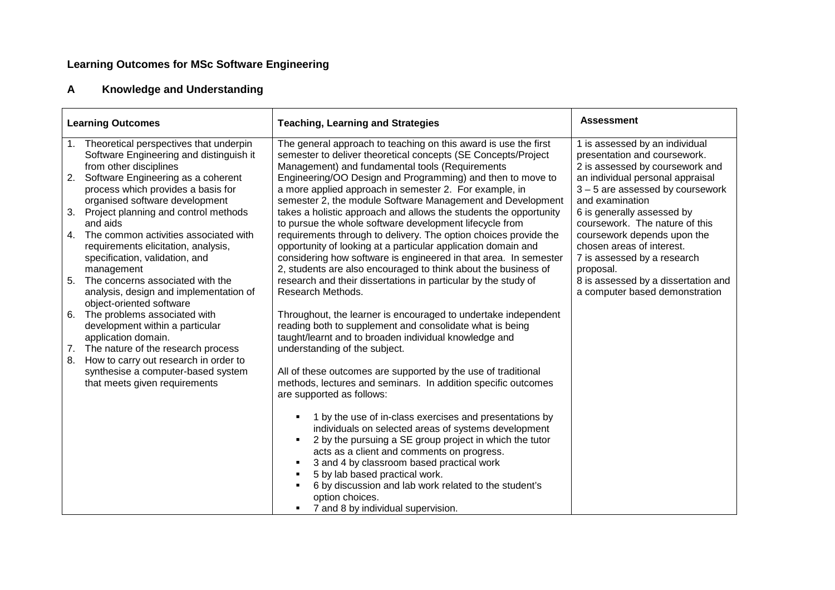## **Learning Outcomes for MSc Software Engineering**

### **AKnowledge and Understanding**

|    | <b>Learning Outcomes</b>                                                                                                                 | <b>Teaching, Learning and Strategies</b>                                                                                                                                                                                                                                                                                                                                                                                  | <b>Assessment</b>                                                                                                                      |
|----|------------------------------------------------------------------------------------------------------------------------------------------|---------------------------------------------------------------------------------------------------------------------------------------------------------------------------------------------------------------------------------------------------------------------------------------------------------------------------------------------------------------------------------------------------------------------------|----------------------------------------------------------------------------------------------------------------------------------------|
|    | 1. Theoretical perspectives that underpin<br>Software Engineering and distinguish it                                                     | The general approach to teaching on this award is use the first<br>semester to deliver theoretical concepts (SE Concepts/Project                                                                                                                                                                                                                                                                                          | 1 is assessed by an individual<br>presentation and coursework.                                                                         |
| 2. | from other disciplines<br>Software Engineering as a coherent<br>process which provides a basis for                                       | Management) and fundamental tools (Requirements<br>Engineering/OO Design and Programming) and then to move to<br>a more applied approach in semester 2. For example, in                                                                                                                                                                                                                                                   | 2 is assessed by coursework and<br>an individual personal appraisal<br>$3 - 5$ are assessed by coursework                              |
| 3. | organised software development<br>Project planning and control methods                                                                   | semester 2, the module Software Management and Development<br>takes a holistic approach and allows the students the opportunity                                                                                                                                                                                                                                                                                           | and examination<br>6 is generally assessed by                                                                                          |
| 4. | and aids<br>The common activities associated with<br>requirements elicitation, analysis,<br>specification, validation, and<br>management | to pursue the whole software development lifecycle from<br>requirements through to delivery. The option choices provide the<br>opportunity of looking at a particular application domain and<br>considering how software is engineered in that area. In semester<br>2, students are also encouraged to think about the business of                                                                                        | coursework. The nature of this<br>coursework depends upon the<br>chosen areas of interest.<br>7 is assessed by a research<br>proposal. |
| 5. | The concerns associated with the<br>analysis, design and implementation of<br>object-oriented software                                   | research and their dissertations in particular by the study of<br>Research Methods.                                                                                                                                                                                                                                                                                                                                       | 8 is assessed by a dissertation and<br>a computer based demonstration                                                                  |
| 6. | The problems associated with<br>development within a particular<br>application domain.                                                   | Throughout, the learner is encouraged to undertake independent<br>reading both to supplement and consolidate what is being<br>taught/learnt and to broaden individual knowledge and                                                                                                                                                                                                                                       |                                                                                                                                        |
| 8. | 7. The nature of the research process<br>How to carry out research in order to                                                           | understanding of the subject.                                                                                                                                                                                                                                                                                                                                                                                             |                                                                                                                                        |
|    | synthesise a computer-based system<br>that meets given requirements                                                                      | All of these outcomes are supported by the use of traditional<br>methods, lectures and seminars. In addition specific outcomes<br>are supported as follows:                                                                                                                                                                                                                                                               |                                                                                                                                        |
|    |                                                                                                                                          | 1 by the use of in-class exercises and presentations by<br>individuals on selected areas of systems development<br>2 by the pursuing a SE group project in which the tutor<br>acts as a client and comments on progress.<br>3 and 4 by classroom based practical work<br>5 by lab based practical work.<br>6 by discussion and lab work related to the student's<br>option choices.<br>7 and 8 by individual supervision. |                                                                                                                                        |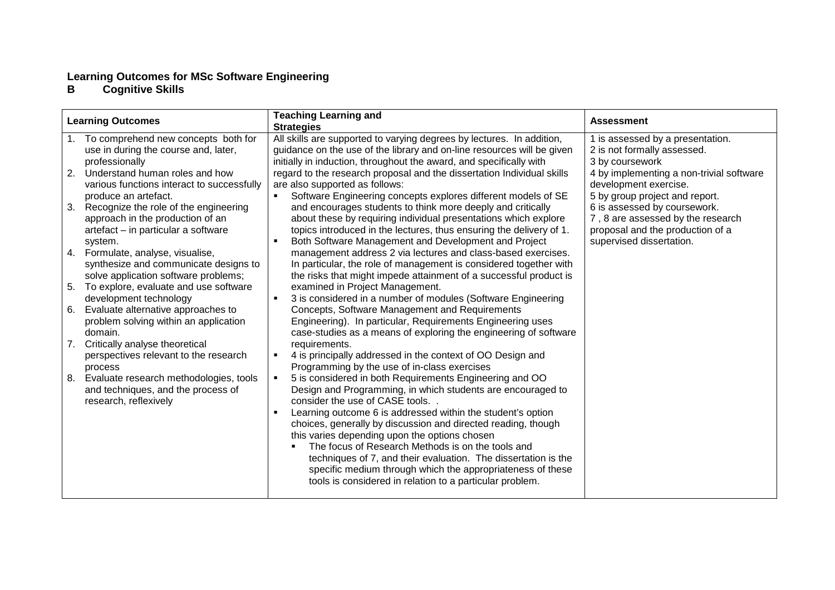## Learning Outcomes for MSc Software Engineering **B** Cognitive Skills

|    | <b>Learning Outcomes</b>                   | <b>Teaching Learning and</b><br><b>Strategies</b>                         | <b>Assessment</b>                        |
|----|--------------------------------------------|---------------------------------------------------------------------------|------------------------------------------|
|    | 1. To comprehend new concepts both for     | All skills are supported to varying degrees by lectures. In addition,     | 1 is assessed by a presentation.         |
|    | use in during the course and, later,       | guidance on the use of the library and on-line resources will be given    | 2 is not formally assessed.              |
|    | professionally                             | initially in induction, throughout the award, and specifically with       | 3 by coursework                          |
| 2. | Understand human roles and how             | regard to the research proposal and the dissertation Individual skills    | 4 by implementing a non-trivial software |
|    | various functions interact to successfully | are also supported as follows:                                            | development exercise.                    |
|    | produce an artefact.                       | Software Engineering concepts explores different models of SE             | 5 by group project and report.           |
| 3. | Recognize the role of the engineering      | and encourages students to think more deeply and critically               | 6 is assessed by coursework.             |
|    | approach in the production of an           | about these by requiring individual presentations which explore           | 7, 8 are assessed by the research        |
|    | artefact - in particular a software        | topics introduced in the lectures, thus ensuring the delivery of 1.       | proposal and the production of a         |
|    | system.                                    | Both Software Management and Development and Project<br>$\blacksquare$    | supervised dissertation.                 |
|    | 4. Formulate, analyse, visualise,          | management address 2 via lectures and class-based exercises.              |                                          |
|    | synthesize and communicate designs to      | In particular, the role of management is considered together with         |                                          |
|    | solve application software problems;       | the risks that might impede attainment of a successful product is         |                                          |
| 5. | To explore, evaluate and use software      | examined in Project Management.                                           |                                          |
|    | development technology                     | 3 is considered in a number of modules (Software Engineering<br>п.        |                                          |
| 6. | Evaluate alternative approaches to         | Concepts, Software Management and Requirements                            |                                          |
|    | problem solving within an application      | Engineering). In particular, Requirements Engineering uses                |                                          |
|    | domain.                                    | case-studies as a means of exploring the engineering of software          |                                          |
|    | 7. Critically analyse theoretical          | requirements.                                                             |                                          |
|    | perspectives relevant to the research      | 4 is principally addressed in the context of OO Design and<br>٠           |                                          |
|    | process                                    | Programming by the use of in-class exercises                              |                                          |
|    | 8. Evaluate research methodologies, tools  | 5 is considered in both Requirements Engineering and OO<br>$\blacksquare$ |                                          |
|    | and techniques, and the process of         | Design and Programming, in which students are encouraged to               |                                          |
|    | research, reflexively                      | consider the use of CASE tools.                                           |                                          |
|    |                                            | Learning outcome 6 is addressed within the student's option               |                                          |
|    |                                            | choices, generally by discussion and directed reading, though             |                                          |
|    |                                            | this varies depending upon the options chosen                             |                                          |
|    |                                            | The focus of Research Methods is on the tools and                         |                                          |
|    |                                            | techniques of 7, and their evaluation. The dissertation is the            |                                          |
|    |                                            | specific medium through which the appropriateness of these                |                                          |
|    |                                            | tools is considered in relation to a particular problem.                  |                                          |
|    |                                            |                                                                           |                                          |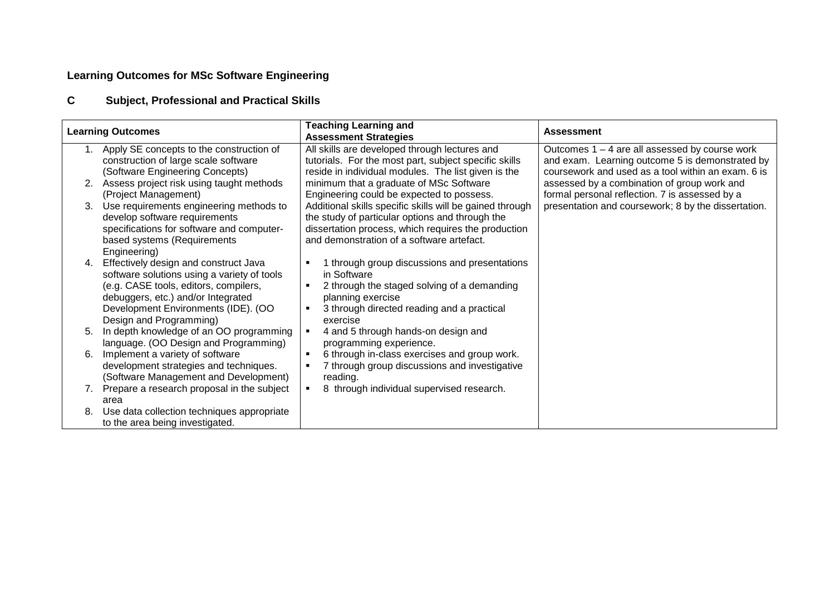## **Learning Outcomes for MSc Software Engineering**

### **CSubject, Professional and Practical Skills**

| <b>Learning Outcomes</b> |                                                                                                                                                                                                                                       | <b>Teaching Learning and</b><br><b>Assessment Strategies</b>                                                                                                                                                    | <b>Assessment</b>                                                                                                                                         |
|--------------------------|---------------------------------------------------------------------------------------------------------------------------------------------------------------------------------------------------------------------------------------|-----------------------------------------------------------------------------------------------------------------------------------------------------------------------------------------------------------------|-----------------------------------------------------------------------------------------------------------------------------------------------------------|
| 1.                       | Apply SE concepts to the construction of<br>construction of large scale software<br>(Software Engineering Concepts)                                                                                                                   | All skills are developed through lectures and<br>tutorials. For the most part, subject specific skills<br>reside in individual modules. The list given is the                                                   | Outcomes $1 - 4$ are all assessed by course work<br>and exam. Learning outcome 5 is demonstrated by<br>coursework and used as a tool within an exam. 6 is |
| 2.                       | Assess project risk using taught methods<br>(Project Management)                                                                                                                                                                      | minimum that a graduate of MSc Software<br>Engineering could be expected to possess.                                                                                                                            | assessed by a combination of group work and<br>formal personal reflection. 7 is assessed by a                                                             |
| 3.                       | Use requirements engineering methods to<br>develop software requirements<br>specifications for software and computer-<br>based systems (Requirements<br>Engineering)                                                                  | Additional skills specific skills will be gained through<br>the study of particular options and through the<br>dissertation process, which requires the production<br>and demonstration of a software artefact. | presentation and coursework; 8 by the dissertation.                                                                                                       |
| 4.                       | Effectively design and construct Java<br>software solutions using a variety of tools<br>(e.g. CASE tools, editors, compilers,<br>debuggers, etc.) and/or Integrated<br>Development Environments (IDE). (OO<br>Design and Programming) | 1 through group discussions and presentations<br>٠<br>in Software<br>2 through the staged solving of a demanding<br>٠<br>planning exercise<br>3 through directed reading and a practical<br>п<br>exercise       |                                                                                                                                                           |
| 5.                       | In depth knowledge of an OO programming<br>language. (OO Design and Programming)                                                                                                                                                      | 4 and 5 through hands-on design and<br>programming experience.                                                                                                                                                  |                                                                                                                                                           |
| 6.                       | Implement a variety of software<br>development strategies and techniques.<br>(Software Management and Development)                                                                                                                    | 6 through in-class exercises and group work.<br>$\blacksquare$<br>7 through group discussions and investigative<br>reading.                                                                                     |                                                                                                                                                           |
|                          | 7. Prepare a research proposal in the subject<br>area                                                                                                                                                                                 | 8 through individual supervised research.                                                                                                                                                                       |                                                                                                                                                           |
| 8.                       | Use data collection techniques appropriate<br>to the area being investigated.                                                                                                                                                         |                                                                                                                                                                                                                 |                                                                                                                                                           |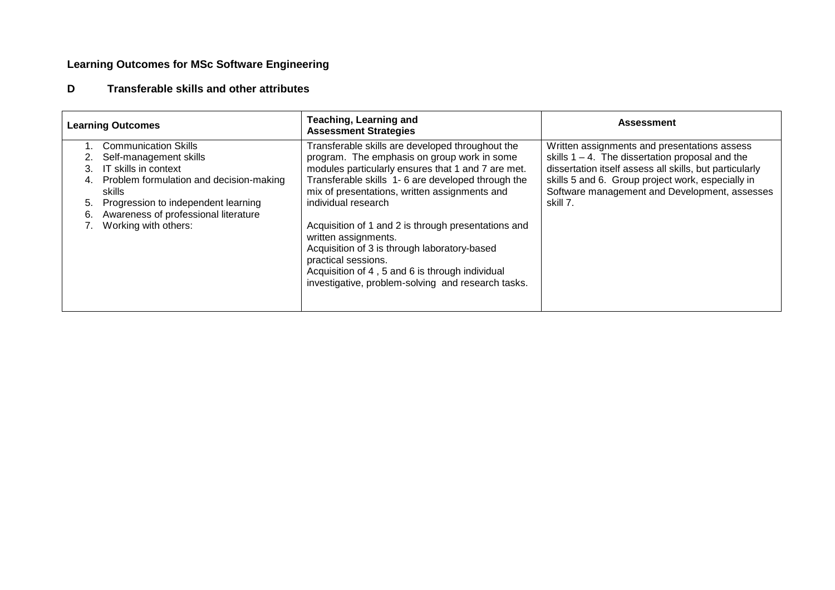## **Learning Outcomes for MSc Software Engineering**

#### **DTransferable skills and other attributes**

| <b>Learning Outcomes</b> |                                                   | <b>Teaching, Learning and</b><br><b>Assessment Strategies</b>                                                                                                                                                                                               | <b>Assessment</b>                                                                                  |
|--------------------------|---------------------------------------------------|-------------------------------------------------------------------------------------------------------------------------------------------------------------------------------------------------------------------------------------------------------------|----------------------------------------------------------------------------------------------------|
|                          | <b>Communication Skills</b>                       | Transferable skills are developed throughout the                                                                                                                                                                                                            | Written assignments and presentations assess                                                       |
|                          | Self-management skills                            | program. The emphasis on group work in some                                                                                                                                                                                                                 | skills $1 - 4$ . The dissertation proposal and the                                                 |
|                          | IT skills in context                              | modules particularly ensures that 1 and 7 are met.                                                                                                                                                                                                          | dissertation itself assess all skills, but particularly                                            |
| 4.                       | Problem formulation and decision-making<br>skills | Transferable skills 1-6 are developed through the<br>mix of presentations, written assignments and                                                                                                                                                          | skills 5 and 6. Group project work, especially in<br>Software management and Development, assesses |
| 5.                       | Progression to independent learning               | individual research                                                                                                                                                                                                                                         | skill 7.                                                                                           |
| 6.                       | Awareness of professional literature              |                                                                                                                                                                                                                                                             |                                                                                                    |
|                          | Working with others:                              | Acquisition of 1 and 2 is through presentations and<br>written assignments.<br>Acquisition of 3 is through laboratory-based<br>practical sessions.<br>Acquisition of 4, 5 and 6 is through individual<br>investigative, problem-solving and research tasks. |                                                                                                    |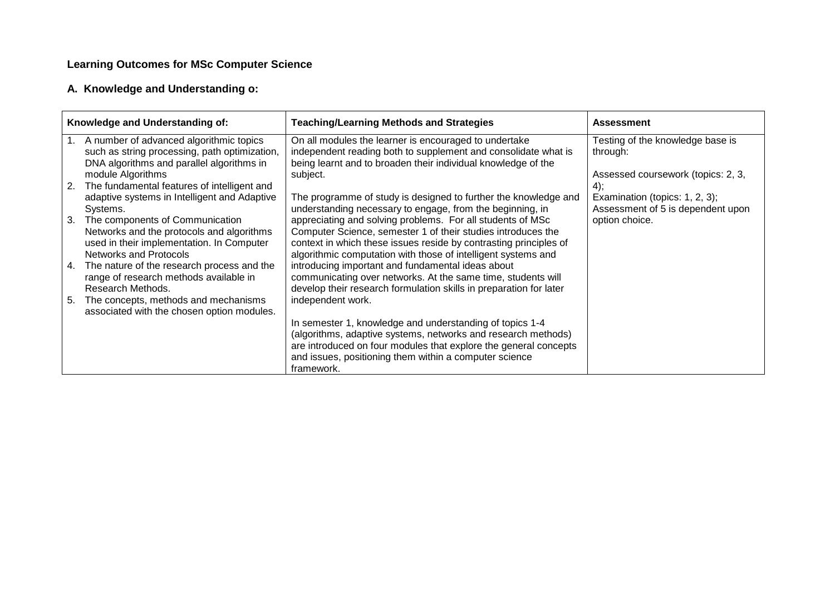## **Learning Outcomes for MSc Computer Science**

## **A. Knowledge and Understanding o:**

| Knowledge and Understanding of: |                                                                                          | <b>Teaching/Learning Methods and Strategies</b>                                                                                   | <b>Assessment</b>                                                   |
|---------------------------------|------------------------------------------------------------------------------------------|-----------------------------------------------------------------------------------------------------------------------------------|---------------------------------------------------------------------|
| 1.                              | A number of advanced algorithmic topics<br>such as string processing, path optimization, | On all modules the learner is encouraged to undertake<br>independent reading both to supplement and consolidate what is           | Testing of the knowledge base is<br>through:                        |
|                                 | DNA algorithms and parallel algorithms in<br>module Algorithms                           | being learnt and to broaden their individual knowledge of the<br>subject.                                                         | Assessed coursework (topics: 2, 3,                                  |
|                                 | 2. The fundamental features of intelligent and                                           |                                                                                                                                   | 4);                                                                 |
|                                 | adaptive systems in Intelligent and Adaptive<br>Systems.                                 | The programme of study is designed to further the knowledge and<br>understanding necessary to engage, from the beginning, in      | Examination (topics: 1, 2, 3);<br>Assessment of 5 is dependent upon |
|                                 | 3. The components of Communication                                                       | appreciating and solving problems. For all students of MSc                                                                        | option choice.                                                      |
|                                 | Networks and the protocols and algorithms<br>used in their implementation. In Computer   | Computer Science, semester 1 of their studies introduces the<br>context in which these issues reside by contrasting principles of |                                                                     |
|                                 | <b>Networks and Protocols</b>                                                            | algorithmic computation with those of intelligent systems and                                                                     |                                                                     |
|                                 | 4. The nature of the research process and the<br>range of research methods available in  | introducing important and fundamental ideas about<br>communicating over networks. At the same time, students will                 |                                                                     |
|                                 | Research Methods.                                                                        | develop their research formulation skills in preparation for later                                                                |                                                                     |
| 5.                              | The concepts, methods and mechanisms<br>associated with the chosen option modules.       | independent work.                                                                                                                 |                                                                     |
|                                 |                                                                                          | In semester 1, knowledge and understanding of topics 1-4                                                                          |                                                                     |
|                                 |                                                                                          | (algorithms, adaptive systems, networks and research methods)<br>are introduced on four modules that explore the general concepts |                                                                     |
|                                 |                                                                                          | and issues, positioning them within a computer science                                                                            |                                                                     |
|                                 |                                                                                          | framework.                                                                                                                        |                                                                     |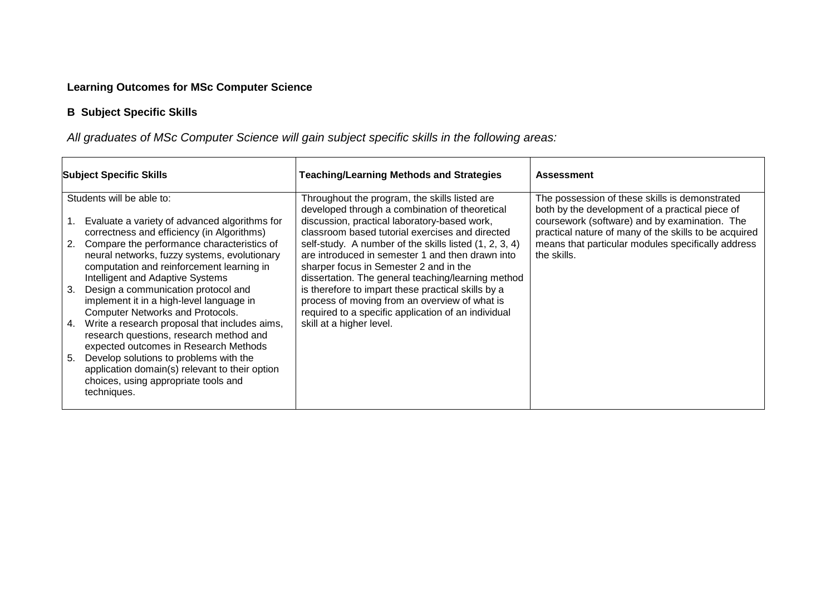## **Learning Outcomes for MSc Computer Science**

## **B Subject Specific Skills**

All graduates of MSc Computer Science will gain subject specific skills in the following areas:

| <b>Subject Specific Skills</b> |                                                                                                                                                                             | <b>Teaching/Learning Methods and Strategies</b>                                                                                                                                                            | <b>Assessment</b>                                                                                      |
|--------------------------------|-----------------------------------------------------------------------------------------------------------------------------------------------------------------------------|------------------------------------------------------------------------------------------------------------------------------------------------------------------------------------------------------------|--------------------------------------------------------------------------------------------------------|
|                                | Students will be able to:                                                                                                                                                   | Throughout the program, the skills listed are<br>developed through a combination of theoretical                                                                                                            | The possession of these skills is demonstrated<br>both by the development of a practical piece of      |
|                                | Evaluate a variety of advanced algorithms for<br>correctness and efficiency (in Algorithms)                                                                                 | discussion, practical laboratory-based work,<br>classroom based tutorial exercises and directed                                                                                                            | coursework (software) and by examination. The<br>practical nature of many of the skills to be acquired |
| 2.                             | Compare the performance characteristics of<br>neural networks, fuzzy systems, evolutionary<br>computation and reinforcement learning in<br>Intelligent and Adaptive Systems | self-study. A number of the skills listed (1, 2, 3, 4)<br>are introduced in semester 1 and then drawn into<br>sharper focus in Semester 2 and in the<br>dissertation. The general teaching/learning method | means that particular modules specifically address<br>the skills.                                      |
| 3.                             | Design a communication protocol and<br>implement it in a high-level language in<br><b>Computer Networks and Protocols.</b>                                                  | is therefore to impart these practical skills by a<br>process of moving from an overview of what is<br>required to a specific application of an individual                                                 |                                                                                                        |
| 4.                             | Write a research proposal that includes aims,<br>research questions, research method and<br>expected outcomes in Research Methods                                           | skill at a higher level.                                                                                                                                                                                   |                                                                                                        |
| 5.                             | Develop solutions to problems with the<br>application domain(s) relevant to their option<br>choices, using appropriate tools and<br>techniques.                             |                                                                                                                                                                                                            |                                                                                                        |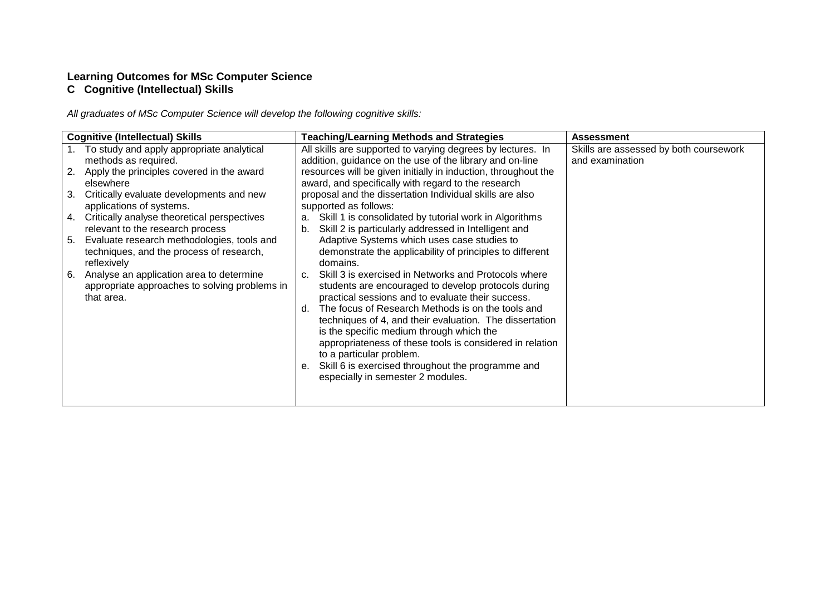## **Learning Outcomes for MSc Computer Science C Cognitive (Intellectual) Skills**

All graduates of MSc Computer Science will develop the following cognitive skills:

|    | <b>Cognitive (Intellectual) Skills</b>                                                                  |          | <b>Teaching/Learning Methods and Strategies</b>                                                                                                                                                                                                     | <b>Assessment</b>                                         |
|----|---------------------------------------------------------------------------------------------------------|----------|-----------------------------------------------------------------------------------------------------------------------------------------------------------------------------------------------------------------------------------------------------|-----------------------------------------------------------|
|    | To study and apply appropriate analytical<br>methods as required.                                       |          | All skills are supported to varying degrees by lectures. In<br>addition, guidance on the use of the library and on-line                                                                                                                             | Skills are assessed by both coursework<br>and examination |
| 2. | Apply the principles covered in the award<br>elsewhere                                                  |          | resources will be given initially in induction, throughout the<br>award, and specifically with regard to the research                                                                                                                               |                                                           |
| 3. | Critically evaluate developments and new<br>applications of systems.                                    |          | proposal and the dissertation Individual skills are also<br>supported as follows:                                                                                                                                                                   |                                                           |
| 4. | Critically analyse theoretical perspectives<br>relevant to the research process                         | a.<br>b. | Skill 1 is consolidated by tutorial work in Algorithms<br>Skill 2 is particularly addressed in Intelligent and                                                                                                                                      |                                                           |
| 5. | Evaluate research methodologies, tools and<br>techniques, and the process of research,<br>reflexively   |          | Adaptive Systems which uses case studies to<br>demonstrate the applicability of principles to different<br>domains.                                                                                                                                 |                                                           |
| 6. | Analyse an application area to determine<br>appropriate approaches to solving problems in<br>that area. |          | c. Skill 3 is exercised in Networks and Protocols where<br>students are encouraged to develop protocols during<br>practical sessions and to evaluate their success.                                                                                 |                                                           |
|    |                                                                                                         |          | d. The focus of Research Methods is on the tools and<br>techniques of 4, and their evaluation. The dissertation<br>is the specific medium through which the<br>appropriateness of these tools is considered in relation<br>to a particular problem. |                                                           |
|    |                                                                                                         |          | e. Skill 6 is exercised throughout the programme and<br>especially in semester 2 modules.                                                                                                                                                           |                                                           |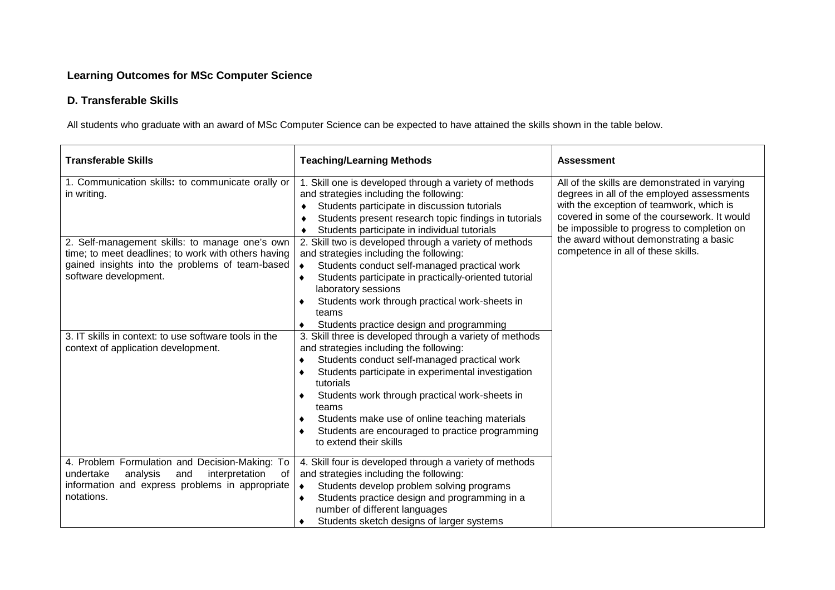## **Learning Outcomes for MSc Computer Science**

## **D. Transferable Skills**

All students who graduate with an award of MSc Computer Science can be expected to have attained the skills shown in the table below.

| <b>Transferable Skills</b>                                                                                                                                                        | <b>Teaching/Learning Methods</b>                                                                                                                                                                                                                                                                                                                                                                                                                                  | <b>Assessment</b>                                                                                                                                                                      |
|-----------------------------------------------------------------------------------------------------------------------------------------------------------------------------------|-------------------------------------------------------------------------------------------------------------------------------------------------------------------------------------------------------------------------------------------------------------------------------------------------------------------------------------------------------------------------------------------------------------------------------------------------------------------|----------------------------------------------------------------------------------------------------------------------------------------------------------------------------------------|
| 1. Communication skills: to communicate orally or<br>in writing.                                                                                                                  | 1. Skill one is developed through a variety of methods<br>and strategies including the following:<br>Students participate in discussion tutorials<br>٠<br>Students present research topic findings in tutorials                                                                                                                                                                                                                                                   | All of the skills are demonstrated in varying<br>degrees in all of the employed assessments<br>with the exception of teamwork, which is<br>covered in some of the coursework. It would |
| 2. Self-management skills: to manage one's own<br>time; to meet deadlines; to work with others having<br>gained insights into the problems of team-based<br>software development. | Students participate in individual tutorials<br>2. Skill two is developed through a variety of methods<br>and strategies including the following:<br>Students conduct self-managed practical work<br>$\bullet$<br>Students participate in practically-oriented tutorial<br>$\bullet$<br>laboratory sessions<br>Students work through practical work-sheets in<br>٠<br>teams                                                                                       | be impossible to progress to completion on<br>the award without demonstrating a basic<br>competence in all of these skills.                                                            |
| 3. IT skills in context: to use software tools in the<br>context of application development.                                                                                      | Students practice design and programming<br>3. Skill three is developed through a variety of methods<br>and strategies including the following:<br>Students conduct self-managed practical work<br>Students participate in experimental investigation<br>٠<br>tutorials<br>Students work through practical work-sheets in<br>teams<br>Students make use of online teaching materials<br>Students are encouraged to practice programming<br>to extend their skills |                                                                                                                                                                                        |
| 4. Problem Formulation and Decision-Making: To<br>undertake<br>analysis<br>interpretation<br>and<br>of<br>information and express problems in appropriate<br>notations.           | 4. Skill four is developed through a variety of methods<br>and strategies including the following:<br>Students develop problem solving programs<br>$\bullet$<br>Students practice design and programming in a<br>number of different languages<br>Students sketch designs of larger systems                                                                                                                                                                       |                                                                                                                                                                                        |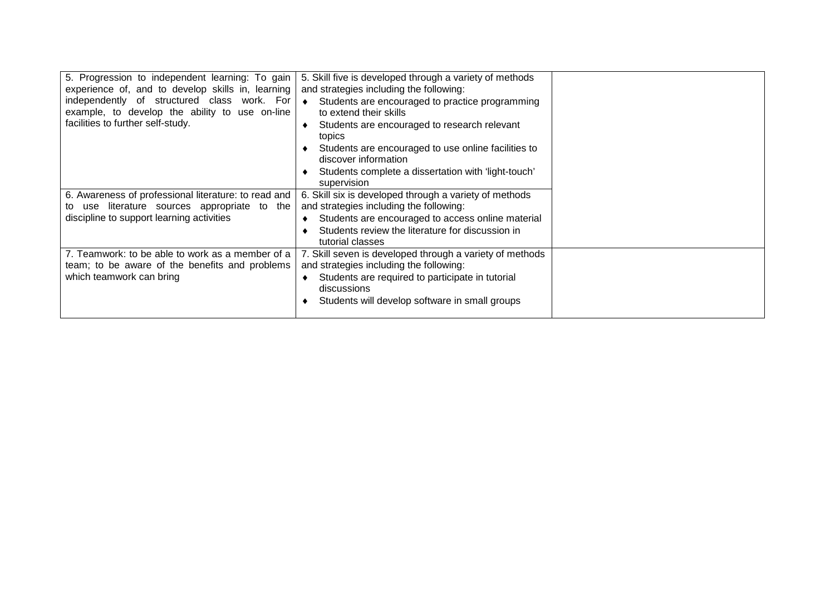| 5. Progression to independent learning: To gain<br>experience of, and to develop skills in, learning<br>independently of structured class work. For<br>example, to develop the ability to use on-line<br>facilities to further self-study. | 5. Skill five is developed through a variety of methods<br>and strategies including the following:<br>Students are encouraged to practice programming<br>$\bullet$<br>to extend their skills<br>Students are encouraged to research relevant<br>topics<br>Students are encouraged to use online facilities to<br>discover information<br>Students complete a dissertation with 'light-touch'<br>supervision |  |
|--------------------------------------------------------------------------------------------------------------------------------------------------------------------------------------------------------------------------------------------|-------------------------------------------------------------------------------------------------------------------------------------------------------------------------------------------------------------------------------------------------------------------------------------------------------------------------------------------------------------------------------------------------------------|--|
| 6. Awareness of professional literature: to read and<br>use literature sources appropriate to the<br>to<br>discipline to support learning activities                                                                                       | 6. Skill six is developed through a variety of methods<br>and strategies including the following:<br>Students are encouraged to access online material<br>Students review the literature for discussion in<br>tutorial classes                                                                                                                                                                              |  |
| 7. Teamwork: to be able to work as a member of a<br>team; to be aware of the benefits and problems<br>which teamwork can bring                                                                                                             | 7. Skill seven is developed through a variety of methods<br>and strategies including the following:<br>Students are required to participate in tutorial<br>discussions<br>Students will develop software in small groups                                                                                                                                                                                    |  |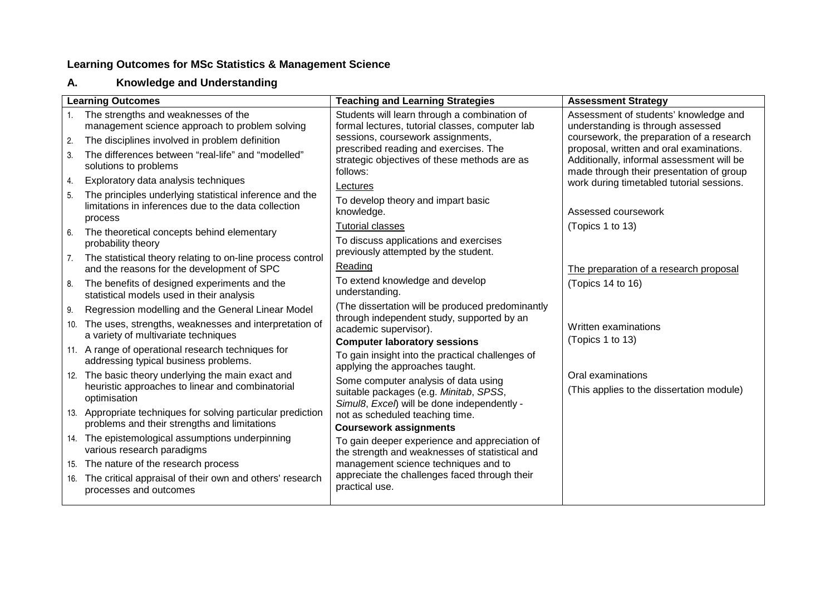#### **A.**. Knowledge and Understanding

|                | <b>Learning Outcomes</b>                                                                                                   | <b>Teaching and Learning Strategies</b>                                                                                       | <b>Assessment Strategy</b>                                                                                                        |
|----------------|----------------------------------------------------------------------------------------------------------------------------|-------------------------------------------------------------------------------------------------------------------------------|-----------------------------------------------------------------------------------------------------------------------------------|
| 1 <sup>1</sup> | The strengths and weaknesses of the<br>management science approach to problem solving                                      | Students will learn through a combination of<br>formal lectures, tutorial classes, computer lab                               | Assessment of students' knowledge and<br>understanding is through assessed                                                        |
| 2.             | The disciplines involved in problem definition                                                                             | sessions, coursework assignments,                                                                                             | coursework, the preparation of a research                                                                                         |
| -3.            | The differences between "real-life" and "modelled"<br>solutions to problems                                                | prescribed reading and exercises. The<br>strategic objectives of these methods are as<br>follows:                             | proposal, written and oral examinations.<br>Additionally, informal assessment will be<br>made through their presentation of group |
| 4.             | Exploratory data analysis techniques                                                                                       | Lectures                                                                                                                      | work during timetabled tutorial sessions.                                                                                         |
| 5.             | The principles underlying statistical inference and the<br>limitations in inferences due to the data collection<br>process | To develop theory and impart basic<br>knowledge.                                                                              | Assessed coursework                                                                                                               |
| 6.             | The theoretical concepts behind elementary<br>probability theory                                                           | <b>Tutorial classes</b><br>To discuss applications and exercises                                                              | (Topics 1 to 13)                                                                                                                  |
| 7.             | The statistical theory relating to on-line process control<br>and the reasons for the development of SPC                   | previously attempted by the student.<br>Reading                                                                               | The preparation of a research proposal                                                                                            |
| 8.             | The benefits of designed experiments and the<br>statistical models used in their analysis                                  | To extend knowledge and develop<br>understanding.                                                                             | (Topics 14 to 16)                                                                                                                 |
| 9.             | Regression modelling and the General Linear Model                                                                          | (The dissertation will be produced predominantly                                                                              |                                                                                                                                   |
| 10.            | The uses, strengths, weaknesses and interpretation of<br>a variety of multivariate techniques                              | through independent study, supported by an<br>academic supervisor).<br><b>Computer laboratory sessions</b>                    | Written examinations<br>(Topics 1 to 13)                                                                                          |
|                | 11. A range of operational research techniques for<br>addressing typical business problems.                                | To gain insight into the practical challenges of<br>applying the approaches taught.                                           |                                                                                                                                   |
|                | 12. The basic theory underlying the main exact and<br>heuristic approaches to linear and combinatorial<br>optimisation     | Some computer analysis of data using<br>suitable packages (e.g. Minitab, SPSS,<br>Simul8, Excel) will be done independently - | Oral examinations<br>(This applies to the dissertation module)                                                                    |
|                | 13. Appropriate techniques for solving particular prediction<br>problems and their strengths and limitations               | not as scheduled teaching time.<br><b>Coursework assignments</b>                                                              |                                                                                                                                   |
|                | 14. The epistemological assumptions underpinning<br>various research paradigms                                             | To gain deeper experience and appreciation of<br>the strength and weaknesses of statistical and                               |                                                                                                                                   |
|                | 15. The nature of the research process                                                                                     | management science techniques and to                                                                                          |                                                                                                                                   |
| 16.            | The critical appraisal of their own and others' research<br>processes and outcomes                                         | appreciate the challenges faced through their<br>practical use.                                                               |                                                                                                                                   |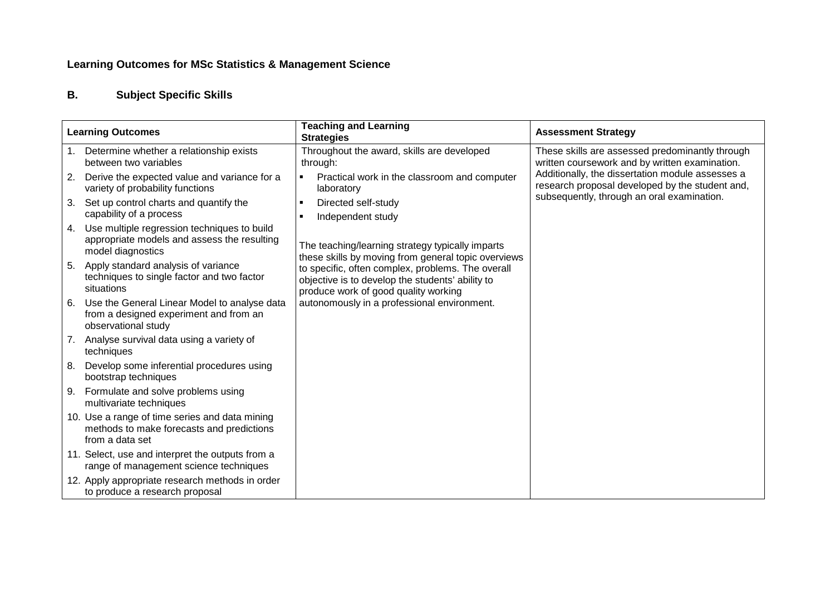### **B.Subject Specific Skills**

| <b>Learning Outcomes</b> |                                                                                                                 | <b>Teaching and Learning</b><br><b>Strategies</b>                                                                                             | <b>Assessment Strategy</b>                                                                          |
|--------------------------|-----------------------------------------------------------------------------------------------------------------|-----------------------------------------------------------------------------------------------------------------------------------------------|-----------------------------------------------------------------------------------------------------|
| 1.                       | Determine whether a relationship exists<br>between two variables                                                | Throughout the award, skills are developed<br>through:                                                                                        | These skills are assessed predominantly through<br>written coursework and by written examination.   |
| 2.                       | Derive the expected value and variance for a<br>variety of probability functions                                | Practical work in the classroom and computer<br>$\blacksquare$<br>laboratory                                                                  | Additionally, the dissertation module assesses a<br>research proposal developed by the student and, |
| 3.                       | Set up control charts and quantify the<br>capability of a process                                               | Directed self-study<br>п<br>Independent study                                                                                                 | subsequently, through an oral examination.                                                          |
| 4.                       | Use multiple regression techniques to build<br>appropriate models and assess the resulting<br>model diagnostics | The teaching/learning strategy typically imparts<br>these skills by moving from general topic overviews                                       |                                                                                                     |
| 5.                       | Apply standard analysis of variance<br>techniques to single factor and two factor<br>situations                 | to specific, often complex, problems. The overall<br>objective is to develop the students' ability to<br>produce work of good quality working |                                                                                                     |
| 6.                       | Use the General Linear Model to analyse data<br>from a designed experiment and from an<br>observational study   | autonomously in a professional environment.                                                                                                   |                                                                                                     |
|                          | 7. Analyse survival data using a variety of<br>techniques                                                       |                                                                                                                                               |                                                                                                     |
| 8.                       | Develop some inferential procedures using<br>bootstrap techniques                                               |                                                                                                                                               |                                                                                                     |
|                          | 9. Formulate and solve problems using<br>multivariate techniques                                                |                                                                                                                                               |                                                                                                     |
|                          | 10. Use a range of time series and data mining<br>methods to make forecasts and predictions<br>from a data set  |                                                                                                                                               |                                                                                                     |
|                          | 11. Select, use and interpret the outputs from a<br>range of management science techniques                      |                                                                                                                                               |                                                                                                     |
|                          | 12. Apply appropriate research methods in order<br>to produce a research proposal                               |                                                                                                                                               |                                                                                                     |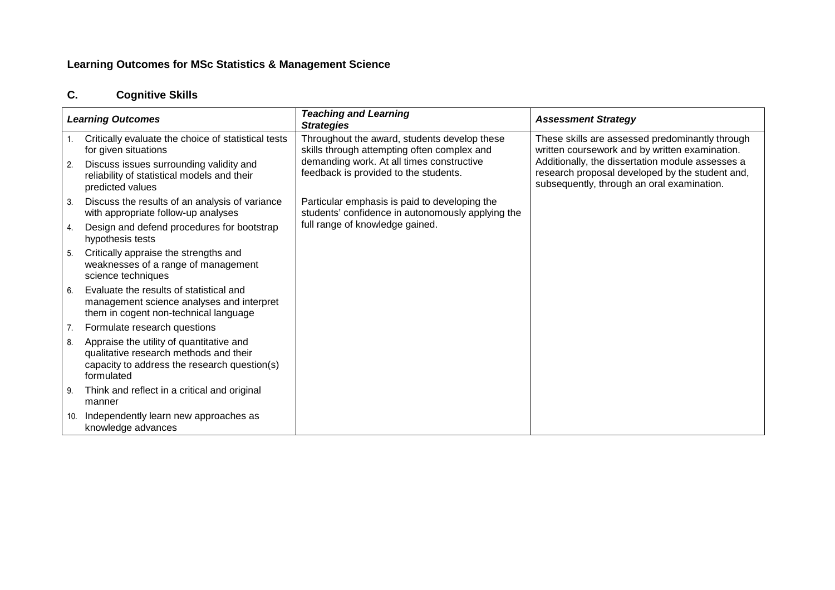### **C.Cognitive Skills**

| <b>Learning Outcomes</b> |                                                                                                                                                  | <b>Teaching and Learning</b><br><b>Strategies</b>                                                  | <b>Assessment Strategy</b>                                                                                                                        |
|--------------------------|--------------------------------------------------------------------------------------------------------------------------------------------------|----------------------------------------------------------------------------------------------------|---------------------------------------------------------------------------------------------------------------------------------------------------|
|                          | Critically evaluate the choice of statistical tests<br>for given situations                                                                      | Throughout the award, students develop these<br>skills through attempting often complex and        | These skills are assessed predominantly through<br>written coursework and by written examination.                                                 |
| -2.                      | Discuss issues surrounding validity and<br>reliability of statistical models and their<br>predicted values                                       | demanding work. At all times constructive<br>feedback is provided to the students.                 | Additionally, the dissertation module assesses a<br>research proposal developed by the student and,<br>subsequently, through an oral examination. |
| - 3.                     | Discuss the results of an analysis of variance<br>with appropriate follow-up analyses                                                            | Particular emphasis is paid to developing the<br>students' confidence in autonomously applying the |                                                                                                                                                   |
| 4.                       | Design and defend procedures for bootstrap<br>hypothesis tests                                                                                   | full range of knowledge gained.                                                                    |                                                                                                                                                   |
| 5.                       | Critically appraise the strengths and<br>weaknesses of a range of management<br>science techniques                                               |                                                                                                    |                                                                                                                                                   |
| 6.                       | Evaluate the results of statistical and<br>management science analyses and interpret<br>them in cogent non-technical language                    |                                                                                                    |                                                                                                                                                   |
| 7.                       | Formulate research questions                                                                                                                     |                                                                                                    |                                                                                                                                                   |
| -8.                      | Appraise the utility of quantitative and<br>qualitative research methods and their<br>capacity to address the research question(s)<br>formulated |                                                                                                    |                                                                                                                                                   |
| - 9.                     | Think and reflect in a critical and original<br>manner                                                                                           |                                                                                                    |                                                                                                                                                   |
| 10.                      | Independently learn new approaches as<br>knowledge advances                                                                                      |                                                                                                    |                                                                                                                                                   |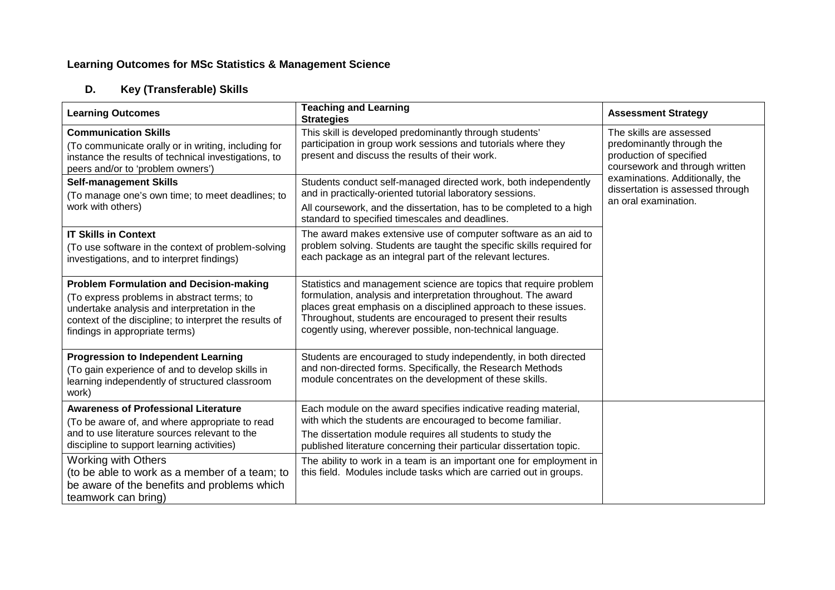### **D.Key (Transferable) Skills**

| <b>Learning Outcomes</b>                                                                                                                                                                                                                                                                                                                          | <b>Teaching and Learning</b><br><b>Strategies</b>                                                                                                                                                                                                                                                                                                                                                                | <b>Assessment Strategy</b>                                                                                        |
|---------------------------------------------------------------------------------------------------------------------------------------------------------------------------------------------------------------------------------------------------------------------------------------------------------------------------------------------------|------------------------------------------------------------------------------------------------------------------------------------------------------------------------------------------------------------------------------------------------------------------------------------------------------------------------------------------------------------------------------------------------------------------|-------------------------------------------------------------------------------------------------------------------|
| <b>Communication Skills</b><br>(To communicate orally or in writing, including for<br>instance the results of technical investigations, to<br>peers and/or to 'problem owners')                                                                                                                                                                   | This skill is developed predominantly through students'<br>participation in group work sessions and tutorials where they<br>present and discuss the results of their work.                                                                                                                                                                                                                                       | The skills are assessed<br>predominantly through the<br>production of specified<br>coursework and through written |
| <b>Self-management Skills</b><br>(To manage one's own time; to meet deadlines; to<br>work with others)                                                                                                                                                                                                                                            | Students conduct self-managed directed work, both independently<br>and in practically-oriented tutorial laboratory sessions.<br>All coursework, and the dissertation, has to be completed to a high<br>standard to specified timescales and deadlines.                                                                                                                                                           | examinations. Additionally, the<br>dissertation is assessed through<br>an oral examination.                       |
| <b>IT Skills in Context</b><br>(To use software in the context of problem-solving<br>investigations, and to interpret findings)                                                                                                                                                                                                                   | The award makes extensive use of computer software as an aid to<br>problem solving. Students are taught the specific skills required for<br>each package as an integral part of the relevant lectures.                                                                                                                                                                                                           |                                                                                                                   |
| <b>Problem Formulation and Decision-making</b><br>(To express problems in abstract terms; to<br>undertake analysis and interpretation in the<br>context of the discipline; to interpret the results of<br>findings in appropriate terms)                                                                                                          | Statistics and management science are topics that require problem<br>formulation, analysis and interpretation throughout. The award<br>places great emphasis on a disciplined approach to these issues.<br>Throughout, students are encouraged to present their results<br>cogently using, wherever possible, non-technical language.                                                                            |                                                                                                                   |
| <b>Progression to Independent Learning</b><br>(To gain experience of and to develop skills in<br>learning independently of structured classroom<br>work)                                                                                                                                                                                          | Students are encouraged to study independently, in both directed<br>and non-directed forms. Specifically, the Research Methods<br>module concentrates on the development of these skills.                                                                                                                                                                                                                        |                                                                                                                   |
| <b>Awareness of Professional Literature</b><br>(To be aware of, and where appropriate to read<br>and to use literature sources relevant to the<br>discipline to support learning activities)<br><b>Working with Others</b><br>(to be able to work as a member of a team; to<br>be aware of the benefits and problems which<br>teamwork can bring) | Each module on the award specifies indicative reading material,<br>with which the students are encouraged to become familiar.<br>The dissertation module requires all students to study the<br>published literature concerning their particular dissertation topic.<br>The ability to work in a team is an important one for employment in<br>this field. Modules include tasks which are carried out in groups. |                                                                                                                   |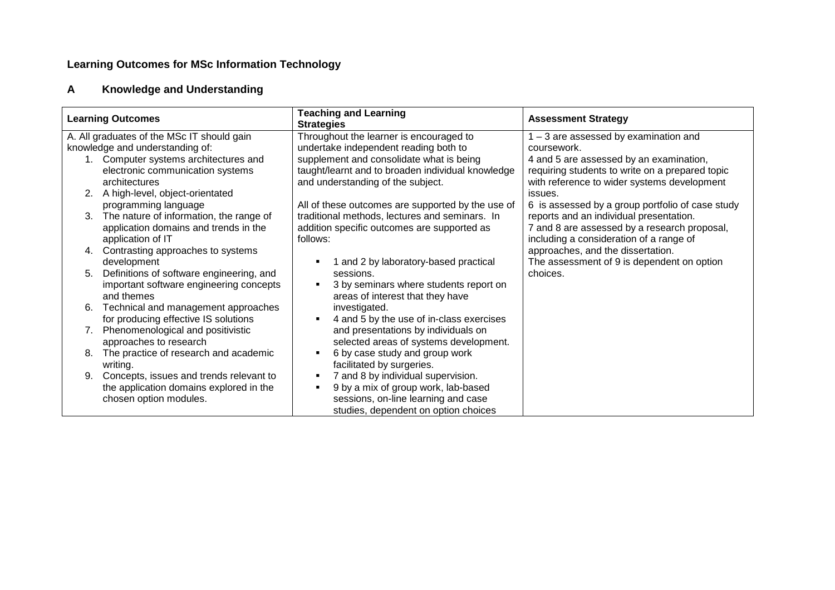### **AKnowledge and Understanding**

| <b>Learning Outcomes</b> |                                                                             | <b>Teaching and Learning</b><br><b>Strategies</b>          | <b>Assessment Strategy</b>                       |
|--------------------------|-----------------------------------------------------------------------------|------------------------------------------------------------|--------------------------------------------------|
|                          | A. All graduates of the MSc IT should gain                                  | Throughout the learner is encouraged to                    | $1 - 3$ are assessed by examination and          |
|                          | knowledge and understanding of:                                             | undertake independent reading both to                      | coursework.                                      |
|                          | Computer systems architectures and                                          | supplement and consolidate what is being                   | 4 and 5 are assessed by an examination,          |
|                          | electronic communication systems                                            | taught/learnt and to broaden individual knowledge          | requiring students to write on a prepared topic  |
|                          | architectures                                                               | and understanding of the subject.                          | with reference to wider systems development      |
|                          | A high-level, object-orientated                                             |                                                            | issues.                                          |
|                          | programming language                                                        | All of these outcomes are supported by the use of          | 6 is assessed by a group portfolio of case study |
| 3.                       | The nature of information, the range of                                     | traditional methods, lectures and seminars. In             | reports and an individual presentation.          |
|                          | application domains and trends in the                                       | addition specific outcomes are supported as                | 7 and 8 are assessed by a research proposal,     |
|                          | application of IT                                                           | follows:                                                   | including a consideration of a range of          |
| 4.                       | Contrasting approaches to systems                                           |                                                            | approaches, and the dissertation.                |
|                          | development                                                                 | 1 and 2 by laboratory-based practical                      | The assessment of 9 is dependent on option       |
| 5.                       | Definitions of software engineering, and                                    | sessions.                                                  | choices.                                         |
|                          | important software engineering concepts<br>and themes                       | 3 by seminars where students report on                     |                                                  |
| 6.                       |                                                                             | areas of interest that they have<br>investigated.          |                                                  |
|                          | Technical and management approaches<br>for producing effective IS solutions | 4 and 5 by the use of in-class exercises<br>$\blacksquare$ |                                                  |
|                          | Phenomenological and positivistic                                           | and presentations by individuals on                        |                                                  |
|                          | approaches to research                                                      | selected areas of systems development.                     |                                                  |
| 8.                       | The practice of research and academic                                       | 6 by case study and group work<br>п                        |                                                  |
|                          | writing.                                                                    | facilitated by surgeries.                                  |                                                  |
|                          | Concepts, issues and trends relevant to                                     | 7 and 8 by individual supervision.<br>$\blacksquare$       |                                                  |
|                          | the application domains explored in the                                     | 9 by a mix of group work, lab-based<br>٠                   |                                                  |
|                          | chosen option modules.                                                      | sessions, on-line learning and case                        |                                                  |
|                          |                                                                             | studies, dependent on option choices                       |                                                  |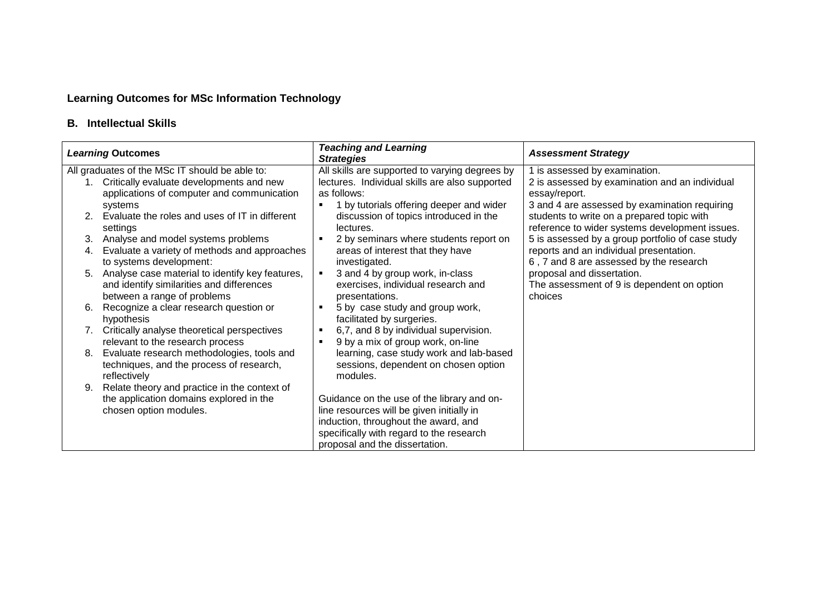## **B. Intellectual Skills**

| <b>Learning Outcomes</b>                       |                                                           | <b>Teaching and Learning</b><br><b>Strategies</b>       | <b>Assessment Strategy</b>                                                                         |  |  |  |
|------------------------------------------------|-----------------------------------------------------------|---------------------------------------------------------|----------------------------------------------------------------------------------------------------|--|--|--|
| All graduates of the MSc IT should be able to: |                                                           | All skills are supported to varying degrees by          | 1 is assessed by examination.                                                                      |  |  |  |
|                                                | 1. Critically evaluate developments and new               | lectures. Individual skills are also supported          | 2 is assessed by examination and an individual                                                     |  |  |  |
|                                                | applications of computer and communication                | as follows:                                             | essay/report.                                                                                      |  |  |  |
|                                                | systems<br>Evaluate the roles and uses of IT in different | 1 by tutorials offering deeper and wider                | 3 and 4 are assessed by examination requiring                                                      |  |  |  |
|                                                |                                                           | discussion of topics introduced in the<br>lectures.     | students to write on a prepared topic with                                                         |  |  |  |
| 3.                                             | settings<br>Analyse and model systems problems            | 2 by seminars where students report on                  | reference to wider systems development issues.<br>5 is assessed by a group portfolio of case study |  |  |  |
| 4.                                             | Evaluate a variety of methods and approaches              | areas of interest that they have                        | reports and an individual presentation.                                                            |  |  |  |
|                                                | to systems development:                                   | investigated.                                           | 6, 7 and 8 are assessed by the research                                                            |  |  |  |
| 5.                                             | Analyse case material to identify key features,           | 3 and 4 by group work, in-class                         | proposal and dissertation.                                                                         |  |  |  |
|                                                | and identify similarities and differences                 | exercises, individual research and                      | The assessment of 9 is dependent on option                                                         |  |  |  |
|                                                | between a range of problems                               | presentations.                                          | choices                                                                                            |  |  |  |
| 6.                                             | Recognize a clear research question or                    | 5 by case study and group work,                         |                                                                                                    |  |  |  |
|                                                | hypothesis                                                | facilitated by surgeries.                               |                                                                                                    |  |  |  |
|                                                | 7. Critically analyse theoretical perspectives            | 6,7, and 8 by individual supervision.<br>$\blacksquare$ |                                                                                                    |  |  |  |
|                                                | relevant to the research process                          | 9 by a mix of group work, on-line<br>$\blacksquare$     |                                                                                                    |  |  |  |
| 8.                                             | Evaluate research methodologies, tools and                | learning, case study work and lab-based                 |                                                                                                    |  |  |  |
|                                                | techniques, and the process of research,                  | sessions, dependent on chosen option                    |                                                                                                    |  |  |  |
|                                                | reflectively                                              | modules.                                                |                                                                                                    |  |  |  |
| 9.                                             | Relate theory and practice in the context of              |                                                         |                                                                                                    |  |  |  |
|                                                | the application domains explored in the                   | Guidance on the use of the library and on-              |                                                                                                    |  |  |  |
|                                                | chosen option modules.                                    | line resources will be given initially in               |                                                                                                    |  |  |  |
|                                                |                                                           | induction, throughout the award, and                    |                                                                                                    |  |  |  |
|                                                |                                                           | specifically with regard to the research                |                                                                                                    |  |  |  |
|                                                |                                                           | proposal and the dissertation.                          |                                                                                                    |  |  |  |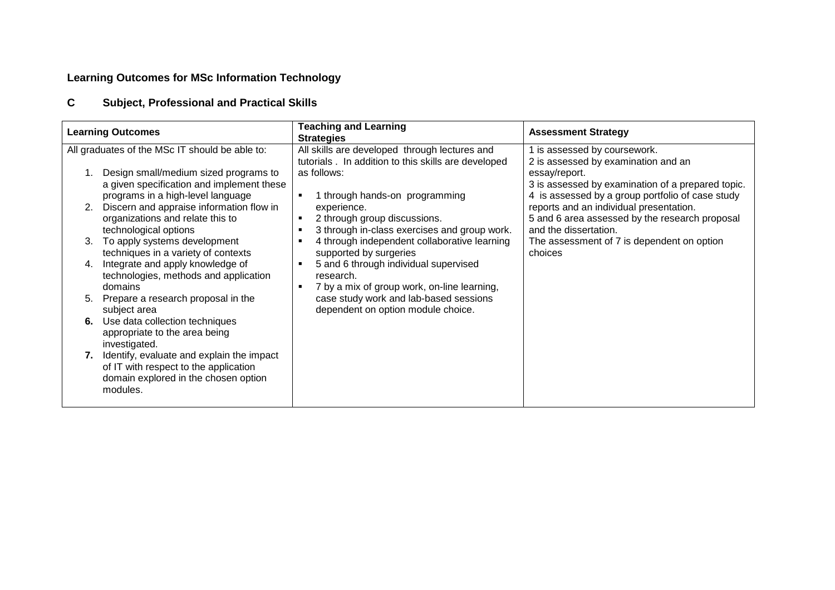### **CSubject, Professional and Practical Skills**

| <b>Learning Outcomes</b>                                                                                                                                                                                                                                                                                                                                                                                                                                                                                                                                                                                                                                                                                                                             | <b>Teaching and Learning</b><br><b>Strategies</b>                                                                                                                                                                                                                                                                                                                                                                                                                                                                             | <b>Assessment Strategy</b>                                                                                                                                                                                                                                                                                                                                                 |
|------------------------------------------------------------------------------------------------------------------------------------------------------------------------------------------------------------------------------------------------------------------------------------------------------------------------------------------------------------------------------------------------------------------------------------------------------------------------------------------------------------------------------------------------------------------------------------------------------------------------------------------------------------------------------------------------------------------------------------------------------|-------------------------------------------------------------------------------------------------------------------------------------------------------------------------------------------------------------------------------------------------------------------------------------------------------------------------------------------------------------------------------------------------------------------------------------------------------------------------------------------------------------------------------|----------------------------------------------------------------------------------------------------------------------------------------------------------------------------------------------------------------------------------------------------------------------------------------------------------------------------------------------------------------------------|
| All graduates of the MSc IT should be able to:<br>Design small/medium sized programs to<br>a given specification and implement these<br>programs in a high-level language<br>Discern and appraise information flow in<br>organizations and relate this to<br>technological options<br>To apply systems development<br>3.<br>techniques in a variety of contexts<br>Integrate and apply knowledge of<br>4.<br>technologies, methods and application<br>domains<br>Prepare a research proposal in the<br>5.<br>subject area<br>Use data collection techniques<br>6.<br>appropriate to the area being<br>investigated.<br>7. Identify, evaluate and explain the impact<br>of IT with respect to the application<br>domain explored in the chosen option | All skills are developed through lectures and<br>tutorials. In addition to this skills are developed<br>as follows:<br>1 through hands-on programming<br>٠<br>experience.<br>2 through group discussions.<br>٠<br>3 through in-class exercises and group work.<br>4 through independent collaborative learning<br>supported by surgeries<br>5 and 6 through individual supervised<br>research.<br>7 by a mix of group work, on-line learning,<br>case study work and lab-based sessions<br>dependent on option module choice. | is assessed by coursework.<br>2 is assessed by examination and an<br>essay/report.<br>3 is assessed by examination of a prepared topic.<br>4 is assessed by a group portfolio of case study<br>reports and an individual presentation.<br>5 and 6 area assessed by the research proposal<br>and the dissertation.<br>The assessment of 7 is dependent on option<br>choices |
| modules.                                                                                                                                                                                                                                                                                                                                                                                                                                                                                                                                                                                                                                                                                                                                             |                                                                                                                                                                                                                                                                                                                                                                                                                                                                                                                               |                                                                                                                                                                                                                                                                                                                                                                            |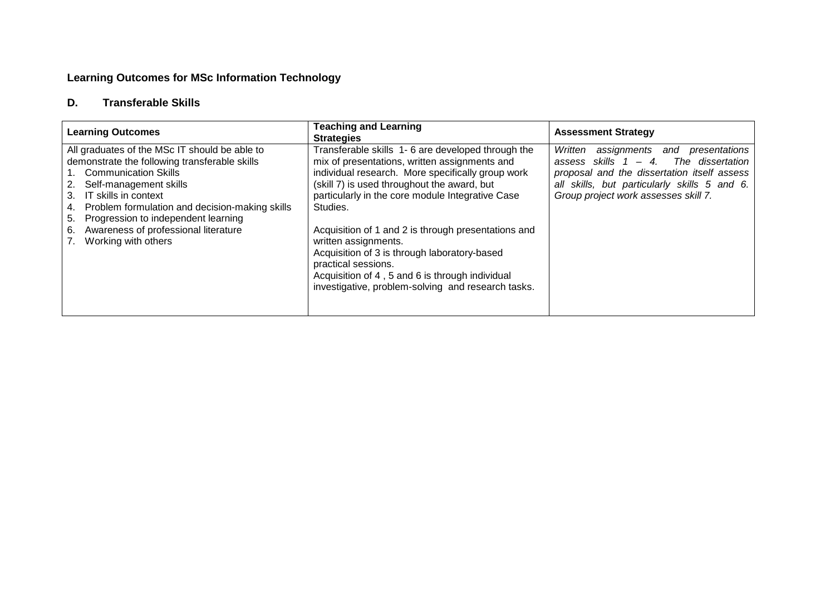#### **D.Transferable Skills**

| <b>Learning Outcomes</b>                                                                                                                                                                                                                                                                                                                              | <b>Teaching and Learning</b><br><b>Strategies</b>                                                                                                                                                                                                                                                                                                                                                                                                                                                                                     | <b>Assessment Strategy</b>                                                                                                                                                                                                        |  |  |  |
|-------------------------------------------------------------------------------------------------------------------------------------------------------------------------------------------------------------------------------------------------------------------------------------------------------------------------------------------------------|---------------------------------------------------------------------------------------------------------------------------------------------------------------------------------------------------------------------------------------------------------------------------------------------------------------------------------------------------------------------------------------------------------------------------------------------------------------------------------------------------------------------------------------|-----------------------------------------------------------------------------------------------------------------------------------------------------------------------------------------------------------------------------------|--|--|--|
| All graduates of the MSc IT should be able to<br>demonstrate the following transferable skills<br>1. Communication Skills<br>2. Self-management skills<br>3. IT skills in context<br>Problem formulation and decision-making skills<br>4.<br>5. Progression to independent learning<br>6. Awareness of professional literature<br>Working with others | Transferable skills 1-6 are developed through the<br>mix of presentations, written assignments and<br>individual research. More specifically group work<br>(skill 7) is used throughout the award, but<br>particularly in the core module Integrative Case<br>Studies.<br>Acquisition of 1 and 2 is through presentations and<br>written assignments.<br>Acquisition of 3 is through laboratory-based<br>practical sessions.<br>Acquisition of 4, 5 and 6 is through individual<br>investigative, problem-solving and research tasks. | Written<br>assignments<br>presentations<br>and<br>assess skills $1 - 4$ . The dissertation<br>proposal and the dissertation itself assess<br>all skills, but particularly skills 5 and 6.<br>Group project work assesses skill 7. |  |  |  |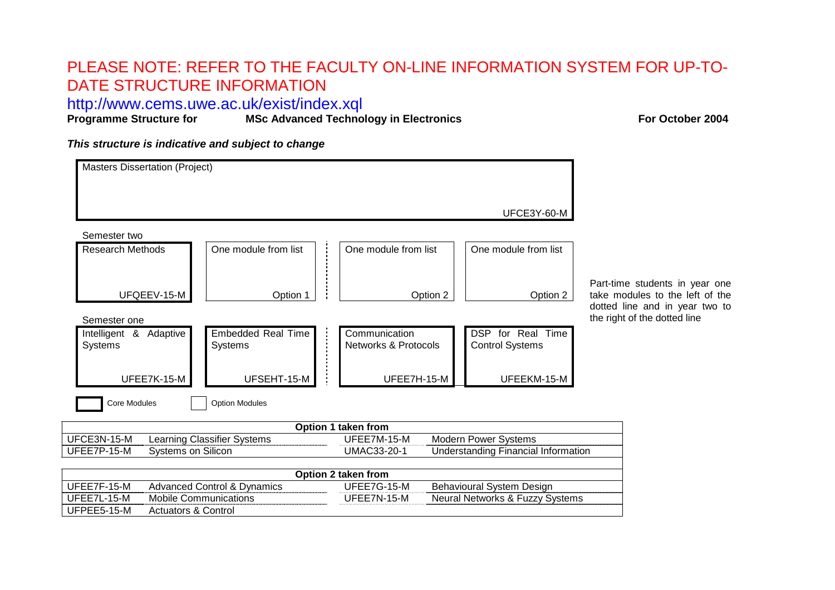# PLEASE NOTE: REFER TO THE FACULTY ON-LINE INFORMATION SYSTEM FOR UP-TO-DATE STRUCTURE INFORMATION

http://www.cems.uwe.ac.uk/exist/index.xql

**Programmerized Technology in Electronics For October 2004** 

**This structure is indicative and subject to change**

Actuators & Control

UFPEE5-15-M

| <b>Masters Dissertation (Project)</b>      |                              |                                             |                    |                                                  |                                            |                                             |  |  |
|--------------------------------------------|------------------------------|---------------------------------------------|--------------------|--------------------------------------------------|--------------------------------------------|---------------------------------------------|--|--|
|                                            |                              |                                             |                    |                                                  |                                            | UFCE3Y-60-M                                 |  |  |
| Semester two                               |                              |                                             |                    |                                                  |                                            |                                             |  |  |
| <b>Research Methods</b>                    |                              | One module from list                        |                    | One module from list                             |                                            | One module from list                        |  |  |
|                                            |                              |                                             |                    |                                                  |                                            |                                             |  |  |
| UFQEEV-15-M                                |                              | Option 1                                    |                    |                                                  | Option 2                                   | Option 2                                    |  |  |
| Semester one                               |                              |                                             |                    |                                                  |                                            |                                             |  |  |
| Intelligent & Adaptive<br>Systems          |                              | <b>Embedded Real Time</b><br><b>Systems</b> |                    | Communication<br><b>Networks &amp; Protocols</b> |                                            | DSP for Real Time<br><b>Control Systems</b> |  |  |
| UFEE7K-15-M                                |                              | UFSEHT-15-M                                 |                    | UFEE7H-15-M                                      |                                            | UFEEKM-15-M                                 |  |  |
| <b>Core Modules</b>                        |                              | <b>Option Modules</b>                       |                    |                                                  |                                            |                                             |  |  |
|                                            |                              |                                             |                    | Option 1 taken from                              |                                            |                                             |  |  |
| UFCE3N-15-M<br>Learning Classifier Systems |                              |                                             |                    | UFEE7M-15-M<br>Modern Power Systems              |                                            |                                             |  |  |
| UFEE7P-15-M<br>Systems on Silicon          |                              |                                             | <b>UMAC33-20-1</b> |                                                  | <b>Understanding Financial Information</b> |                                             |  |  |
| Option 2 taken from                        |                              |                                             |                    |                                                  |                                            |                                             |  |  |
| UFEE7F-15-M                                |                              | <b>Advanced Control &amp; Dynamics</b>      | UFEE7G-15-M        | Behavioural System Design                        |                                            |                                             |  |  |
| UFEE7L-15-M                                | <b>Mobile Communications</b> |                                             | UFEE7N-15-M        | Neural Networks & Fuzzy Systems                  |                                            |                                             |  |  |

Part-time students in year one take modules to the left of the dotted line and in year two to the right of the dotted line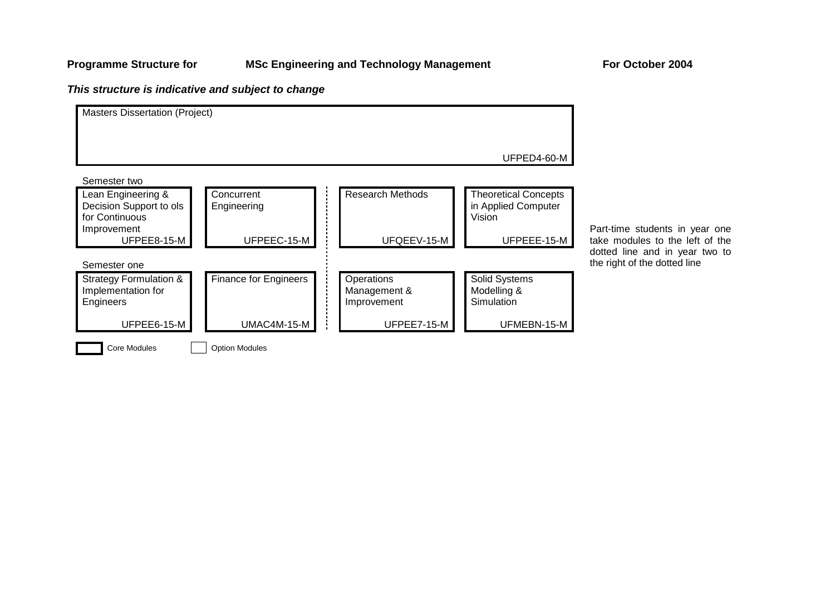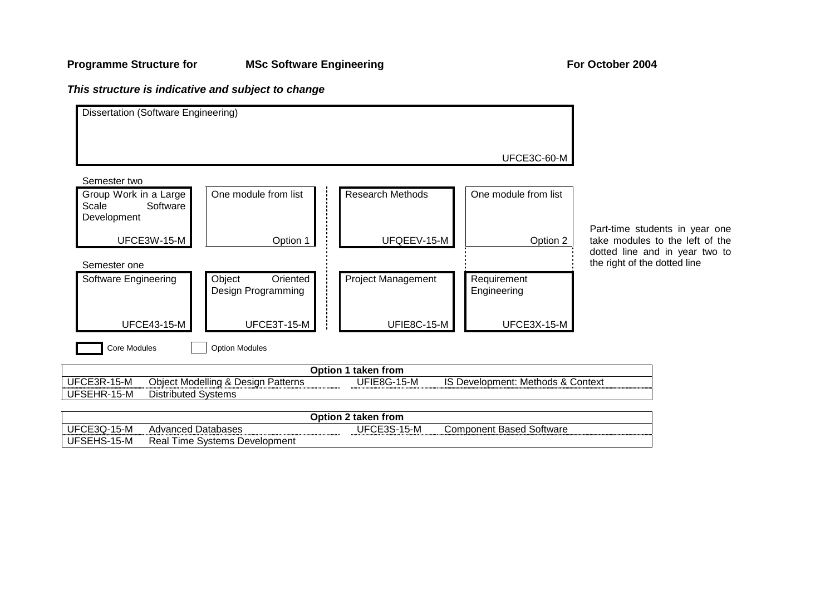## **Programme Structure for MSc Software Engineering For October 2004**



| Option 2 taken from  |                                        |                  |                                |  |  |  |  |
|----------------------|----------------------------------------|------------------|--------------------------------|--|--|--|--|
| UFC<br>CE3O-<br>15-M | Databases<br>Advanced I                | JF<br>5-M<br>◡⊏ା | Based<br>Software<br>Component |  |  |  |  |
| 15-M<br>UFSEHS-1     | Systems<br>'Jevelopment<br>ime<br>Real |                  |                                |  |  |  |  |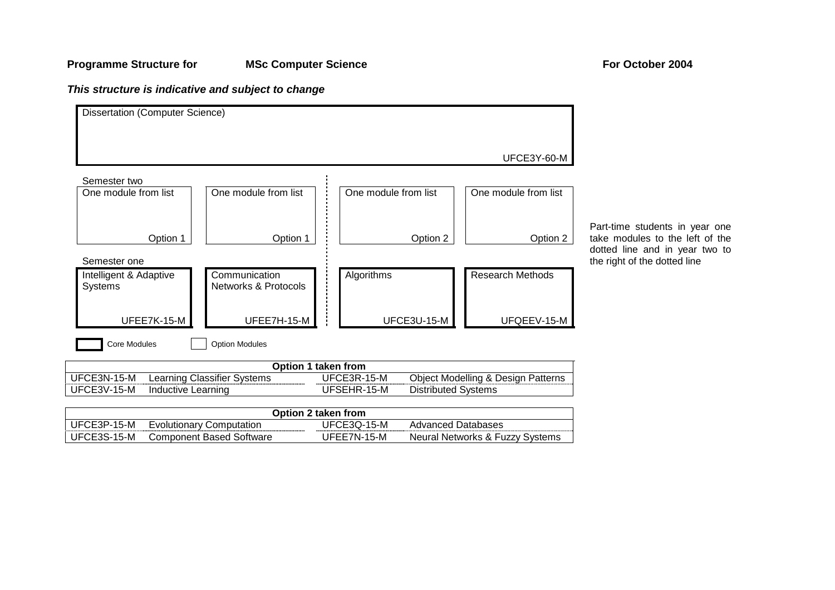### **Programme Structure for MSc Computer Science For October 2004**

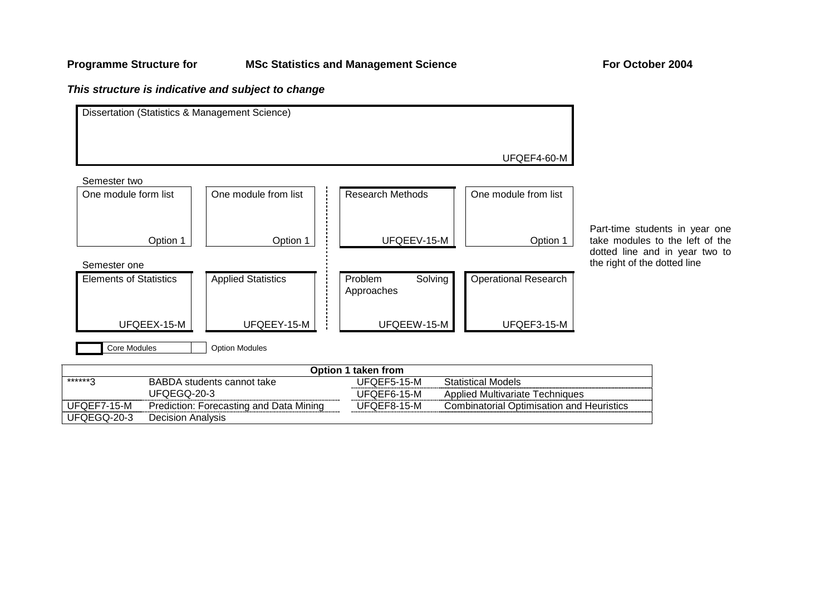UFQEGQ-20-3

### **This structure is indicative and subject to change**

Decision Analysis

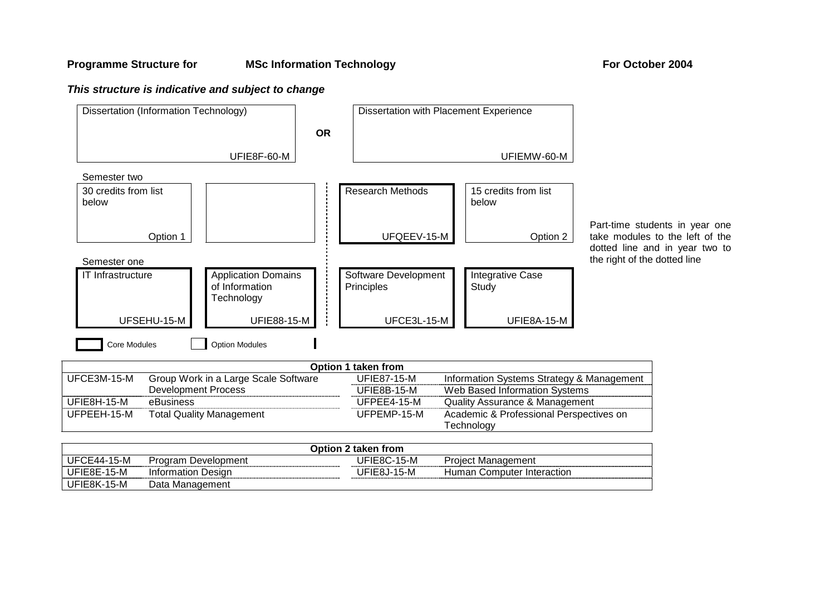### **Programme Structure for MSc Information Technology For October 2004**

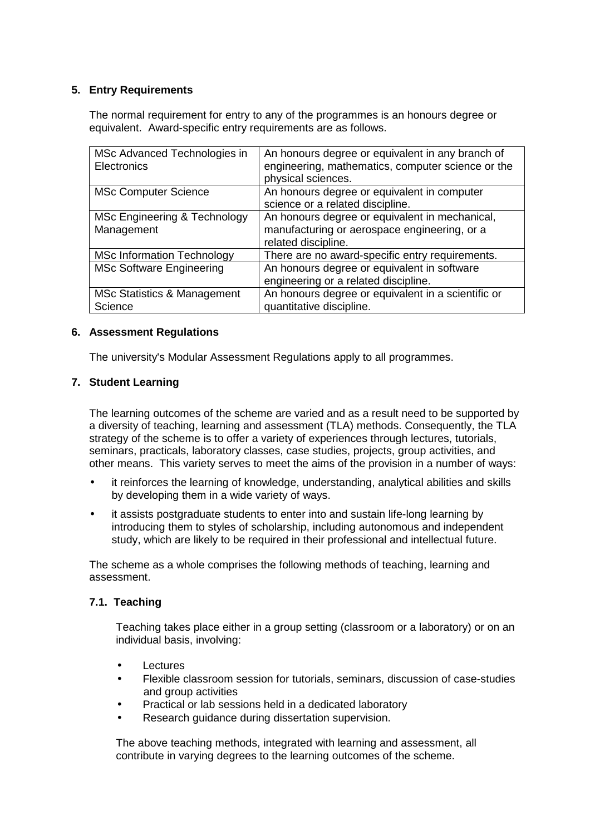## **5. Entry Requirements**

The normal requirement for entry to any of the programmes is an honours degree or equivalent. Award-specific entry requirements are as follows.

| MSc Advanced Technologies in<br><b>Electronics</b> | An honours degree or equivalent in any branch of<br>engineering, mathematics, computer science or the<br>physical sciences. |
|----------------------------------------------------|-----------------------------------------------------------------------------------------------------------------------------|
| <b>MSc Computer Science</b>                        | An honours degree or equivalent in computer<br>science or a related discipline.                                             |
| MSc Engineering & Technology<br>Management         | An honours degree or equivalent in mechanical,<br>manufacturing or aerospace engineering, or a<br>related discipline.       |
| <b>MSc Information Technology</b>                  | There are no award-specific entry requirements.                                                                             |
| <b>MSc Software Engineering</b>                    | An honours degree or equivalent in software<br>engineering or a related discipline.                                         |
| MSc Statistics & Management<br>Science             | An honours degree or equivalent in a scientific or<br>quantitative discipline.                                              |

## **6. Assessment Regulations**

The university's Modular Assessment Regulations apply to all programmes.

## **7. Student Learning**

The learning outcomes of the scheme are varied and as a result need to be supported by a diversity of teaching, learning and assessment (TLA) methods. Consequently, the TLA strategy of the scheme is to offer a variety of experiences through lectures, tutorials, seminars, practicals, laboratory classes, case studies, projects, group activities, and other means. This variety serves to meet the aims of the provision in a number of ways:

- it reinforces the learning of knowledge, understanding, analytical abilities and skills by developing them in a wide variety of ways.
- it assists postgraduate students to enter into and sustain life-long learning by introducing them to styles of scholarship, including autonomous and independent study, which are likely to be required in their professional and intellectual future.

The scheme as a whole comprises the following methods of teaching, learning and assessment.

## **7.1. Teaching**

Teaching takes place either in a group setting (classroom or a laboratory) or on an individual basis, involving:

- **Lectures**
- Flexible classroom session for tutorials, seminars, discussion of case-studies and group activities
- Practical or lab sessions held in a dedicated laboratory
- Research guidance during dissertation supervision.

The above teaching methods, integrated with learning and assessment, all contribute in varying degrees to the learning outcomes of the scheme.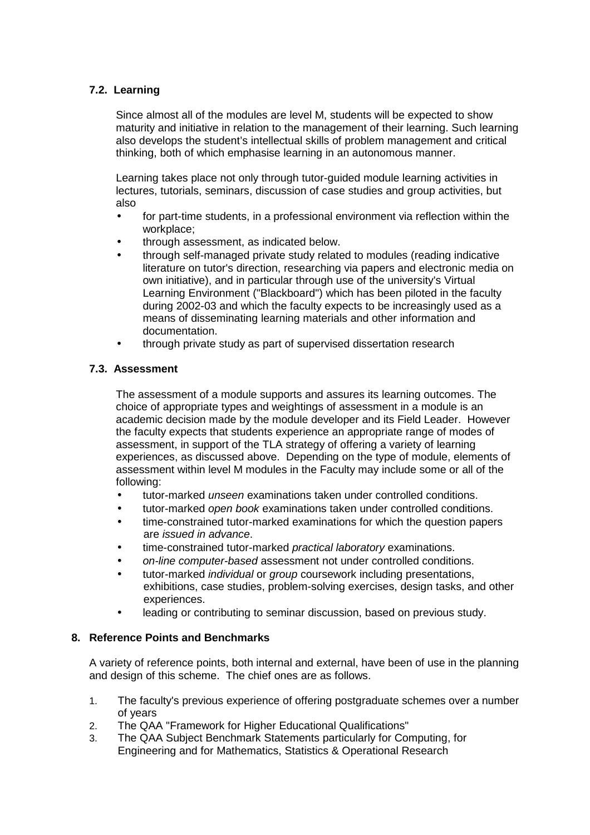## **7.2. Learning**

Since almost all of the modules are level M, students will be expected to show maturity and initiative in relation to the management of their learning. Such learning also develops the student's intellectual skills of problem management and critical thinking, both of which emphasise learning in an autonomous manner.

Learning takes place not only through tutor-guided module learning activities in lectures, tutorials, seminars, discussion of case studies and group activities, but also

- for part-time students, in a professional environment via reflection within the workplace;
- through assessment, as indicated below.
- through self-managed private study related to modules (reading indicative literature on tutor's direction, researching via papers and electronic media on own initiative), and in particular through use of the university's Virtual Learning Environment ("Blackboard") which has been piloted in the faculty during 2002-03 and which the faculty expects to be increasingly used as a means of disseminating learning materials and other information and documentation.
- through private study as part of supervised dissertation research

## **7.3. Assessment**

The assessment of a module supports and assures its learning outcomes. The choice of appropriate types and weightings of assessment in a module is an academic decision made by the module developer and its Field Leader. However the faculty expects that students experience an appropriate range of modes of assessment, in support of the TLA strategy of offering a variety of learning experiences, as discussed above. Depending on the type of module, elements of assessment within level M modules in the Faculty may include some or all of the following:

- tutor-marked *unseen* examinations taken under controlled conditions.
- tutor-marked open book examinations taken under controlled conditions.
- time-constrained tutor-marked examinations for which the question papers are issued in advance.
- time-constrained tutor-marked practical laboratory examinations.
- on-line computer-based assessment not under controlled conditions.
- tutor-marked *individual* or *group* coursework including presentations, exhibitions, case studies, problem-solving exercises, design tasks, and other experiences.
- leading or contributing to seminar discussion, based on previous study.

## **8. Reference Points and Benchmarks**

A variety of reference points, both internal and external, have been of use in the planning and design of this scheme. The chief ones are as follows.

- 1. The faculty's previous experience of offering postgraduate schemes over a number of years
- 2. The QAA "Framework for Higher Educational Qualifications"
- 3. The QAA Subject Benchmark Statements particularly for Computing, for Engineering and for Mathematics, Statistics & Operational Research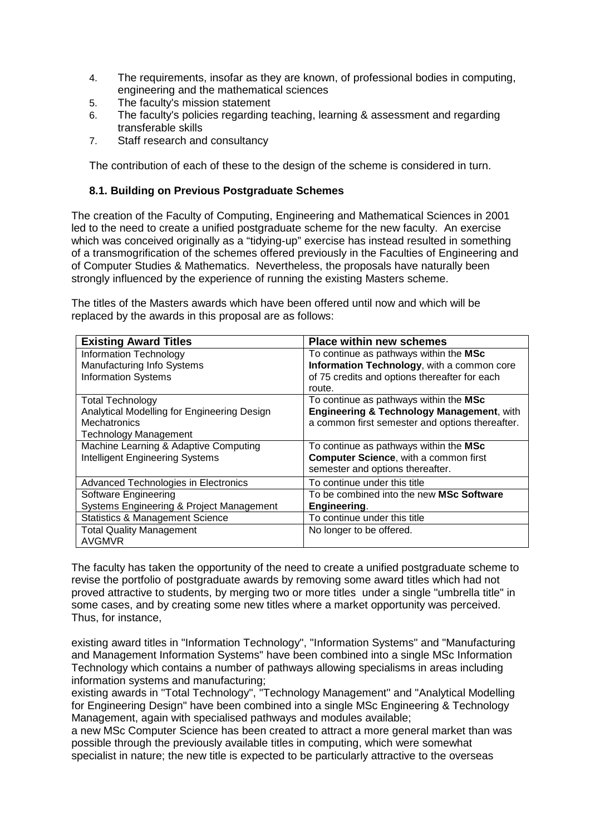- 4. The requirements, insofar as they are known, of professional bodies in computing, engineering and the mathematical sciences
- 5. The faculty's mission statement
- 6. The faculty's policies regarding teaching, learning & assessment and regarding transferable skills
- 7. Staff research and consultancy

The contribution of each of these to the design of the scheme is considered in turn.

## **8.1. Building on Previous Postgraduate Schemes**

The creation of the Faculty of Computing, Engineering and Mathematical Sciences in 2001 led to the need to create a unified postgraduate scheme for the new faculty. An exercise which was conceived originally as a "tidying-up" exercise has instead resulted in something of a transmogrification of the schemes offered previously in the Faculties of Engineering and of Computer Studies & Mathematics. Nevertheless, the proposals have naturally been strongly influenced by the experience of running the existing Masters scheme.

The titles of the Masters awards which have been offered until now and which will be replaced by the awards in this proposal are as follows:

| <b>Existing Award Titles</b>                | <b>Place within new schemes</b>                      |
|---------------------------------------------|------------------------------------------------------|
| <b>Information Technology</b>               | To continue as pathways within the MSc               |
| Manufacturing Info Systems                  | Information Technology, with a common core           |
| <b>Information Systems</b>                  | of 75 credits and options thereafter for each        |
|                                             | route.                                               |
| <b>Total Technology</b>                     | To continue as pathways within the MSc               |
| Analytical Modelling for Engineering Design | <b>Engineering &amp; Technology Management, with</b> |
| <b>Mechatronics</b>                         | a common first semester and options thereafter.      |
| <b>Technology Management</b>                |                                                      |
| Machine Learning & Adaptive Computing       | To continue as pathways within the MSc               |
| <b>Intelligent Engineering Systems</b>      | <b>Computer Science, with a common first</b>         |
|                                             | semester and options thereafter.                     |
| Advanced Technologies in Electronics        | To continue under this title                         |
| Software Engineering                        | To be combined into the new MSc Software             |
| Systems Engineering & Project Management    | Engineering.                                         |
| <b>Statistics &amp; Management Science</b>  | To continue under this title                         |
| <b>Total Quality Management</b>             | No longer to be offered.                             |
| AVGMVR                                      |                                                      |

The faculty has taken the opportunity of the need to create a unified postgraduate scheme to revise the portfolio of postgraduate awards by removing some award titles which had not proved attractive to students, by merging two or more titles under a single "umbrella title" in some cases, and by creating some new titles where a market opportunity was perceived. Thus, for instance,

existing award titles in "Information Technology", "Information Systems" and "Manufacturing and Management Information Systems" have been combined into a single MSc Information Technology which contains a number of pathways allowing specialisms in areas including information systems and manufacturing;

existing awards in "Total Technology", "Technology Management" and "Analytical Modelling for Engineering Design" have been combined into a single MSc Engineering & Technology Management, again with specialised pathways and modules available;

a new MSc Computer Science has been created to attract a more general market than was possible through the previously available titles in computing, which were somewhat specialist in nature; the new title is expected to be particularly attractive to the overseas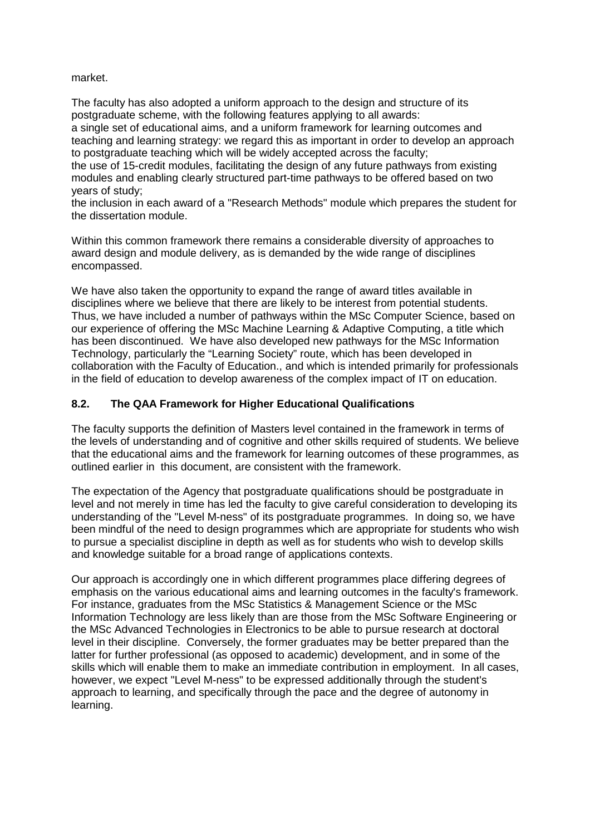## market.

The faculty has also adopted a uniform approach to the design and structure of its postgraduate scheme, with the following features applying to all awards: a single set of educational aims, and a uniform framework for learning outcomes and teaching and learning strategy: we regard this as important in order to develop an approach to postgraduate teaching which will be widely accepted across the faculty; the use of 15-credit modules, facilitating the design of any future pathways from existing modules and enabling clearly structured part-time pathways to be offered based on two years of study;

the inclusion in each award of a "Research Methods" module which prepares the student for the dissertation module.

Within this common framework there remains a considerable diversity of approaches to award design and module delivery, as is demanded by the wide range of disciplines encompassed.

We have also taken the opportunity to expand the range of award titles available in disciplines where we believe that there are likely to be interest from potential students. Thus, we have included a number of pathways within the MSc Computer Science, based on our experience of offering the MSc Machine Learning & Adaptive Computing, a title which has been discontinued. We have also developed new pathways for the MSc Information Technology, particularly the "Learning Society" route, which has been developed in collaboration with the Faculty of Education., and which is intended primarily for professionals in the field of education to develop awareness of the complex impact of IT on education.

## **8.2. The QAA Framework for Higher Educational Qualifications**

The faculty supports the definition of Masters level contained in the framework in terms of the levels of understanding and of cognitive and other skills required of students. We believe that the educational aims and the framework for learning outcomes of these programmes, as outlined earlier in this document, are consistent with the framework.

The expectation of the Agency that postgraduate qualifications should be postgraduate in level and not merely in time has led the faculty to give careful consideration to developing its understanding of the "Level M-ness" of its postgraduate programmes. In doing so, we have been mindful of the need to design programmes which are appropriate for students who wish to pursue a specialist discipline in depth as well as for students who wish to develop skills and knowledge suitable for a broad range of applications contexts.

Our approach is accordingly one in which different programmes place differing degrees of emphasis on the various educational aims and learning outcomes in the faculty's framework. For instance, graduates from the MSc Statistics & Management Science or the MSc Information Technology are less likely than are those from the MSc Software Engineering or the MSc Advanced Technologies in Electronics to be able to pursue research at doctoral level in their discipline. Conversely, the former graduates may be better prepared than the latter for further professional (as opposed to academic) development, and in some of the skills which will enable them to make an immediate contribution in employment. In all cases, however, we expect "Level M-ness" to be expressed additionally through the student's approach to learning, and specifically through the pace and the degree of autonomy in learning.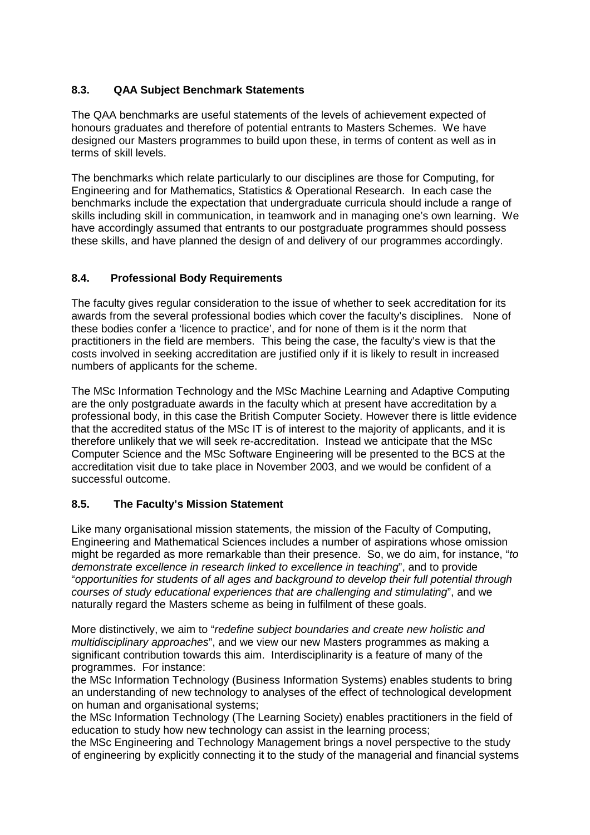## **8.3. QAA Subject Benchmark Statements**

The QAA benchmarks are useful statements of the levels of achievement expected of honours graduates and therefore of potential entrants to Masters Schemes. We have designed our Masters programmes to build upon these, in terms of content as well as in terms of skill levels.

The benchmarks which relate particularly to our disciplines are those for Computing, for Engineering and for Mathematics, Statistics & Operational Research. In each case the benchmarks include the expectation that undergraduate curricula should include a range of skills including skill in communication, in teamwork and in managing one's own learning. We have accordingly assumed that entrants to our postgraduate programmes should possess these skills, and have planned the design of and delivery of our programmes accordingly.

## **8.4. Professional Body Requirements**

The faculty gives regular consideration to the issue of whether to seek accreditation for its awards from the several professional bodies which cover the faculty's disciplines. None of these bodies confer a 'licence to practice', and for none of them is it the norm that practitioners in the field are members. This being the case, the faculty's view is that the costs involved in seeking accreditation are justified only if it is likely to result in increased numbers of applicants for the scheme.

The MSc Information Technology and the MSc Machine Learning and Adaptive Computing are the only postgraduate awards in the faculty which at present have accreditation by a professional body, in this case the British Computer Society. However there is little evidence that the accredited status of the MSc IT is of interest to the majority of applicants, and it is therefore unlikely that we will seek re-accreditation. Instead we anticipate that the MSc Computer Science and the MSc Software Engineering will be presented to the BCS at the accreditation visit due to take place in November 2003, and we would be confident of a successful outcome.

## **8.5. The Faculty's Mission Statement**

Like many organisational mission statements, the mission of the Faculty of Computing, Engineering and Mathematical Sciences includes a number of aspirations whose omission might be regarded as more remarkable than their presence. So, we do aim, for instance, "to demonstrate excellence in research linked to excellence in teaching", and to provide "opportunities for students of all ages and background to develop their full potential through courses of study educational experiences that are challenging and stimulating", and we naturally regard the Masters scheme as being in fulfilment of these goals.

More distinctively, we aim to "redefine subject boundaries and create new holistic and multidisciplinary approaches", and we view our new Masters programmes as making a significant contribution towards this aim. Interdisciplinarity is a feature of many of the programmes. For instance:

the MSc Information Technology (Business Information Systems) enables students to bring an understanding of new technology to analyses of the effect of technological development on human and organisational systems;

the MSc Information Technology (The Learning Society) enables practitioners in the field of education to study how new technology can assist in the learning process;

the MSc Engineering and Technology Management brings a novel perspective to the study of engineering by explicitly connecting it to the study of the managerial and financial systems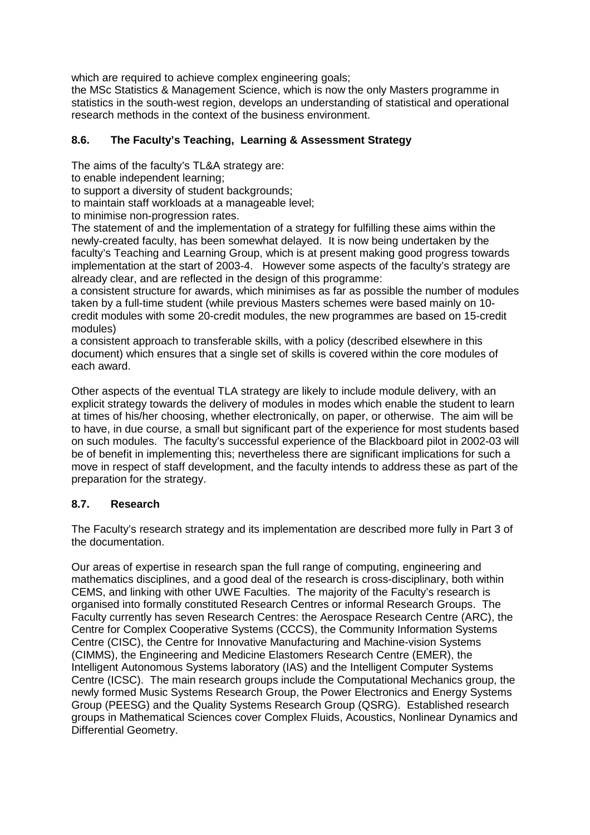which are required to achieve complex engineering goals;

the MSc Statistics & Management Science, which is now the only Masters programme in statistics in the south-west region, develops an understanding of statistical and operational research methods in the context of the business environment.

## **8.6. The Faculty's Teaching, Learning & Assessment Strategy**

The aims of the faculty's TL&A strategy are:

to enable independent learning;

to support a diversity of student backgrounds;

to maintain staff workloads at a manageable level;

to minimise non-progression rates.

The statement of and the implementation of a strategy for fulfilling these aims within the newly-created faculty, has been somewhat delayed. It is now being undertaken by the faculty's Teaching and Learning Group, which is at present making good progress towards implementation at the start of 2003-4. However some aspects of the faculty's strategy are already clear, and are reflected in the design of this programme:

a consistent structure for awards, which minimises as far as possible the number of modules taken by a full-time student (while previous Masters schemes were based mainly on 10 credit modules with some 20-credit modules, the new programmes are based on 15-credit modules)

a consistent approach to transferable skills, with a policy (described elsewhere in this document) which ensures that a single set of skills is covered within the core modules of each award.

Other aspects of the eventual TLA strategy are likely to include module delivery, with an explicit strategy towards the delivery of modules in modes which enable the student to learn at times of his/her choosing, whether electronically, on paper, or otherwise. The aim will be to have, in due course, a small but significant part of the experience for most students based on such modules. The faculty's successful experience of the Blackboard pilot in 2002-03 will be of benefit in implementing this; nevertheless there are significant implications for such a move in respect of staff development, and the faculty intends to address these as part of the preparation for the strategy.

## **8.7. Research**

The Faculty's research strategy and its implementation are described more fully in Part 3 of the documentation.

Our areas of expertise in research span the full range of computing, engineering and mathematics disciplines, and a good deal of the research is cross-disciplinary, both within CEMS, and linking with other UWE Faculties. The majority of the Faculty's research is organised into formally constituted Research Centres or informal Research Groups. The Faculty currently has seven Research Centres: the Aerospace Research Centre (ARC), the Centre for Complex Cooperative Systems (CCCS), the Community Information Systems Centre (CISC), the Centre for Innovative Manufacturing and Machine-vision Systems (CIMMS), the Engineering and Medicine Elastomers Research Centre (EMER), the Intelligent Autonomous Systems laboratory (IAS) and the Intelligent Computer Systems Centre (ICSC). The main research groups include the Computational Mechanics group, the newly formed Music Systems Research Group, the Power Electronics and Energy Systems Group (PEESG) and the Quality Systems Research Group (QSRG). Established research groups in Mathematical Sciences cover Complex Fluids, Acoustics, Nonlinear Dynamics and Differential Geometry.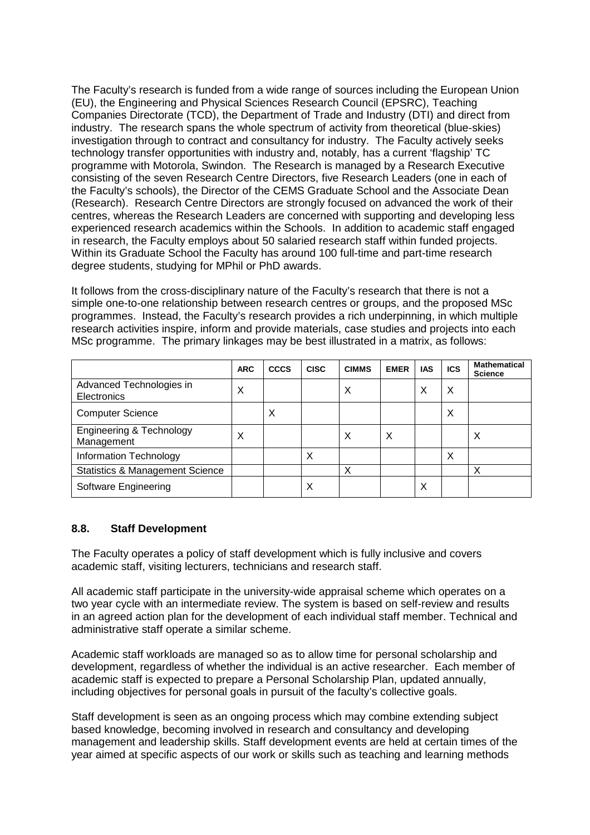The Faculty's research is funded from a wide range of sources including the European Union (EU), the Engineering and Physical Sciences Research Council (EPSRC), Teaching Companies Directorate (TCD), the Department of Trade and Industry (DTI) and direct from industry. The research spans the whole spectrum of activity from theoretical (blue-skies) investigation through to contract and consultancy for industry. The Faculty actively seeks technology transfer opportunities with industry and, notably, has a current 'flagship' TC programme with Motorola, Swindon. The Research is managed by a Research Executive consisting of the seven Research Centre Directors, five Research Leaders (one in each of the Faculty's schools), the Director of the CEMS Graduate School and the Associate Dean (Research). Research Centre Directors are strongly focused on advanced the work of their centres, whereas the Research Leaders are concerned with supporting and developing less experienced research academics within the Schools. In addition to academic staff engaged in research, the Faculty employs about 50 salaried research staff within funded projects. Within its Graduate School the Faculty has around 100 full-time and part-time research degree students, studying for MPhil or PhD awards.

It follows from the cross-disciplinary nature of the Faculty's research that there is not a simple one-to-one relationship between research centres or groups, and the proposed MSc programmes. Instead, the Faculty's research provides a rich underpinning, in which multiple research activities inspire, inform and provide materials, case studies and projects into each MSc programme. The primary linkages may be best illustrated in a matrix, as follows:

|                                                   | <b>ARC</b> | <b>CCCS</b> | <b>CISC</b> | <b>CIMMS</b> | <b>EMER</b> | <b>IAS</b> | <b>ICS</b> | <b>Mathematical</b><br><b>Science</b> |
|---------------------------------------------------|------------|-------------|-------------|--------------|-------------|------------|------------|---------------------------------------|
| Advanced Technologies in<br>Electronics           | Х          |             |             | Х            |             | Х          | X          |                                       |
| <b>Computer Science</b>                           |            | X           |             |              |             |            | Χ          |                                       |
| <b>Engineering &amp; Technology</b><br>Management | Х          |             |             | X            | X           |            |            | Х                                     |
| Information Technology                            |            |             | Х           |              |             |            | X          |                                       |
| <b>Statistics &amp; Management Science</b>        |            |             |             | X            |             |            |            | х                                     |
| Software Engineering                              |            |             | Х           |              |             | X          |            |                                       |

## **8.8. Staff Development**

The Faculty operates a policy of staff development which is fully inclusive and covers academic staff, visiting lecturers, technicians and research staff.

All academic staff participate in the university-wide appraisal scheme which operates on a two year cycle with an intermediate review. The system is based on self-review and results in an agreed action plan for the development of each individual staff member. Technical and administrative staff operate a similar scheme.

Academic staff workloads are managed so as to allow time for personal scholarship and development, regardless of whether the individual is an active researcher. Each member of academic staff is expected to prepare a Personal Scholarship Plan, updated annually, including objectives for personal goals in pursuit of the faculty's collective goals.

Staff development is seen as an ongoing process which may combine extending subject based knowledge, becoming involved in research and consultancy and developing management and leadership skills. Staff development events are held at certain times of the year aimed at specific aspects of our work or skills such as teaching and learning methods